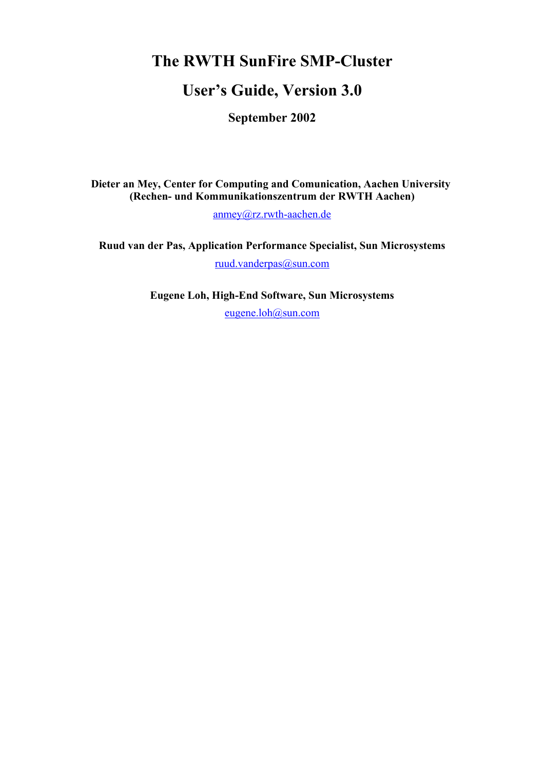# **The RWTH SunFire SMP-Cluster**

# **User's Guide, Version 3.0**

**September 2002**

**Dieter an Mey, Center for Computing and Comunication, Aachen University (Rechen- und Kommunikationszentrum der RWTH Aachen)**

anmey@rz.rwth-aachen.de

**Ruud van der Pas, Application Performance Specialist, Sun Microsystems** ruud.vanderpas@sun.com

**Eugene Loh, High-End Software, Sun Microsystems**

eugene.loh@sun.com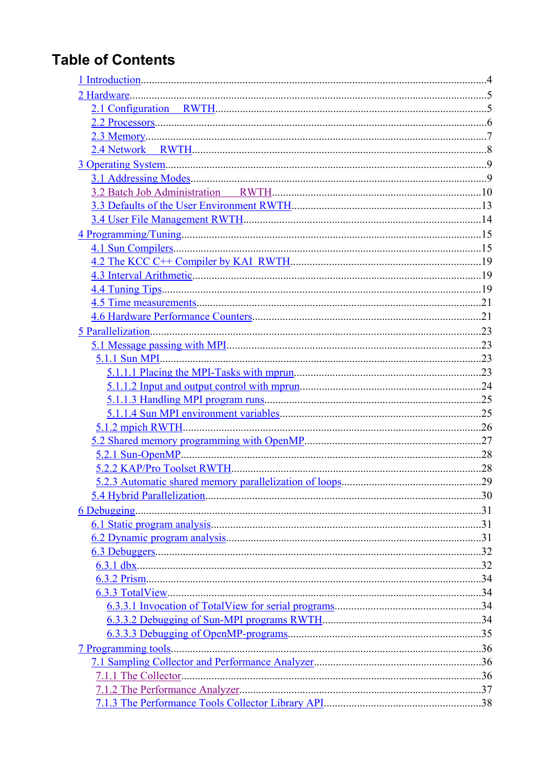# **Table of Contents**

| 5.2.3 Automatic shared memory parallelization of loops | .29 |
|--------------------------------------------------------|-----|
|                                                        |     |
|                                                        |     |
|                                                        |     |
|                                                        |     |
|                                                        |     |
|                                                        |     |
|                                                        |     |
|                                                        |     |
|                                                        |     |
|                                                        |     |
|                                                        |     |
|                                                        |     |
|                                                        |     |
|                                                        |     |
|                                                        |     |
|                                                        |     |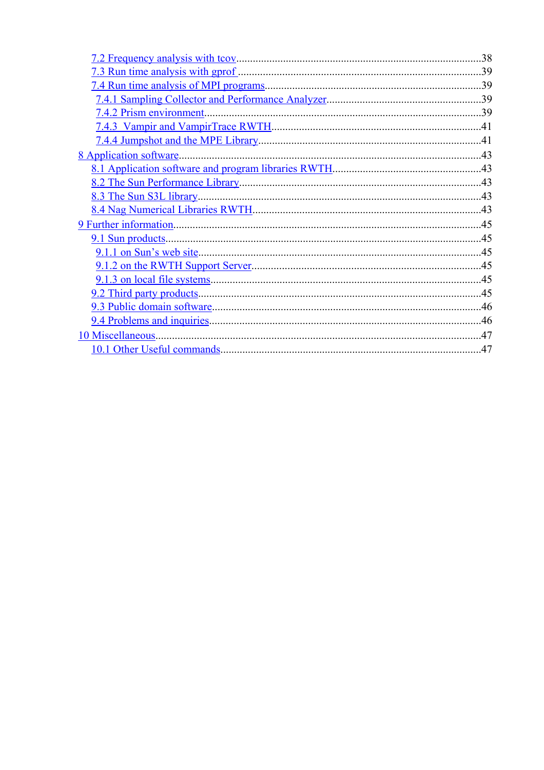| .38 |
|-----|
|     |
|     |
|     |
|     |
|     |
|     |
|     |
|     |
|     |
|     |
|     |
|     |
|     |
|     |
|     |
|     |
|     |
|     |
|     |
|     |
|     |
|     |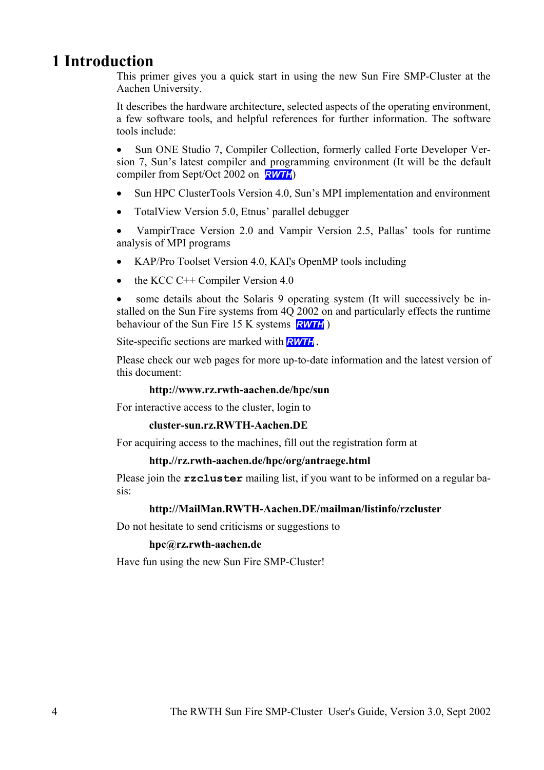# **1 Introduction**

This primer gives you a quick start in using the new Sun Fire SMP-Cluster at the Aachen University.

It describes the hardware architecture, selected aspects of the operating environment, a few software tools, and helpful references for further information. The software tools include:

• Sun ONE Studio 7, Compiler Collection, formerly called Forte Developer Version 7, Sun's latest compiler and programming environment (It will be the default compiler from Sept/Oct 2002 on *RWTH*)

- Sun HPC ClusterTools Version 4.0, Sun's MPI implementation and environment
- TotalView Version 5.0, Etnus' parallel debugger

• VampirTrace Version 2.0 and Vampir Version 2.5, Pallas' tools for runtime analysis of MPI programs

- KAP/Pro Toolset Version 4.0, KAI's OpenMP tools including
- the KCC  $C++$  Compiler Version 4.0

some details about the Solaris 9 operating system (It will successively be installed on the Sun Fire systems from 4Q 2002 on and particularly effects the runtime behaviour of the Sun Fire 15 K systems *RWTH* )

Site-specific sections are marked with *RWTH***.**

Please check our web pages for more up-to-date information and the latest version of this document:

#### **http://www.rz.rwth-aachen.de/hpc/sun**

For interactive access to the cluster, login to

#### **cluster-sun.rz.RWTH-Aachen.DE**

For acquiring access to the machines, fill out the registration form at

#### **http.//rz.rwth-aachen.de/hpc/org/antraege.html**

Please join the **rzcluster** mailing list, if you want to be informed on a regular basis:

## **http://MailMan.RWTH-Aachen.DE/mailman/listinfo/rzcluster**

Do not hesitate to send criticisms or suggestions to

#### **hpc@rz.rwth-aachen.de**

Have fun using the new Sun Fire SMP-Cluster!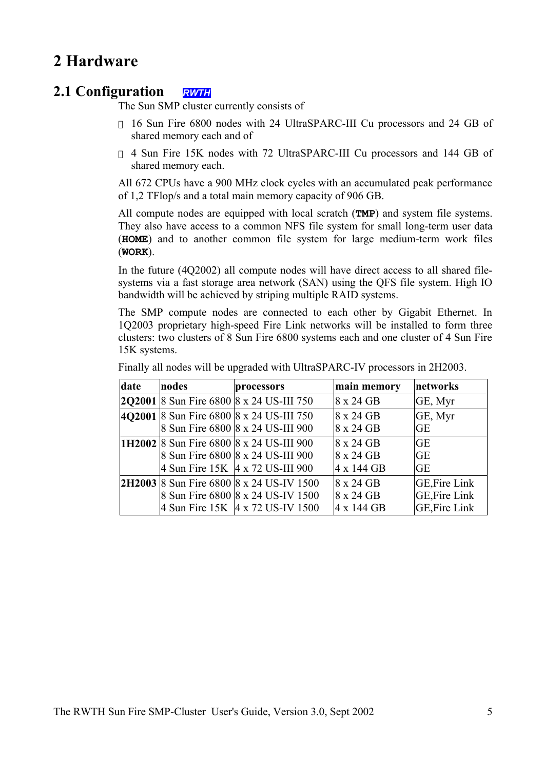# **2 Hardware**

# **2.1 Configuration** *RWTH*

The Sun SMP cluster currently consists of

16 Sun Fire 6800 nodes with 24 UltraSPARC-III Cu processors and 24 GB of shared memory each and of

4 Sun Fire 15K nodes with 72 UltraSPARC-III Cu processors and 144 GB of shared memory each.

All 672 CPUs have a 900 MHz clock cycles with an accumulated peak performance of 1,2 TFlop/s and a total main memory capacity of 906 GB.

All compute nodes are equipped with local scratch (**TMP**) and system file systems. They also have access to a common NFS file system for small long-term user data (**HOME**) and to another common file system for large medium-term work files (**WORK**).

In the future (4Q2002) all compute nodes will have direct access to all shared filesystems via a fast storage area network (SAN) using the QFS file system. High IO bandwidth will be achieved by striping multiple RAID systems.

The SMP compute nodes are connected to each other by Gigabit Ethernet. In 1Q2003 proprietary high-speed Fire Link networks will be installed to form three clusters: two clusters of 8 Sun Fire 6800 systems each and one cluster of 4 Sun Fire 15K systems.

| date | nodes | processors                                      | main memory | networks             |
|------|-------|-------------------------------------------------|-------------|----------------------|
|      |       | <b>2Q2001</b> 8 Sun Fire 6800 8 x 24 US-III 750 | 8 x 24 GB   | GE, Myr              |
|      |       | 4Q2001 8 Sun Fire 6800 8 x 24 US-III 750        | 8 x 24 GB   | GE, Myr              |
|      |       | 8 Sun Fire 6800 8 x 24 US-III 900               | 8 x 24 GB   | GE                   |
|      |       | <b>1H2002</b> 8 Sun Fire 6800 8 x 24 US-III 900 | 8 x 24 GB   | <b>GE</b>            |
|      |       | 8 Sun Fire 6800 8 x 24 US-III 900               | 8 x 24 GB   | <b>GE</b>            |
|      |       | 4 Sun Fire 15K 4 x 72 US-III 900                | 4 x 144 GB  | <b>GE</b>            |
|      |       | <b>2H2003</b> 8 Sun Fire 6800 8 x 24 US-IV 1500 | 8 x 24 GB   | <b>GE, Fire Link</b> |
|      |       | 8 Sun Fire 6800 8 x 24 US-IV 1500               | 8 x 24 GB   | <b>GE, Fire Link</b> |
|      |       | 4 Sun Fire 15K 4 x 72 US-IV 1500                | 4 x 144 GB  | GE, Fire Link        |

Finally all nodes will be upgraded with UltraSPARC-IV processors in 2H2003.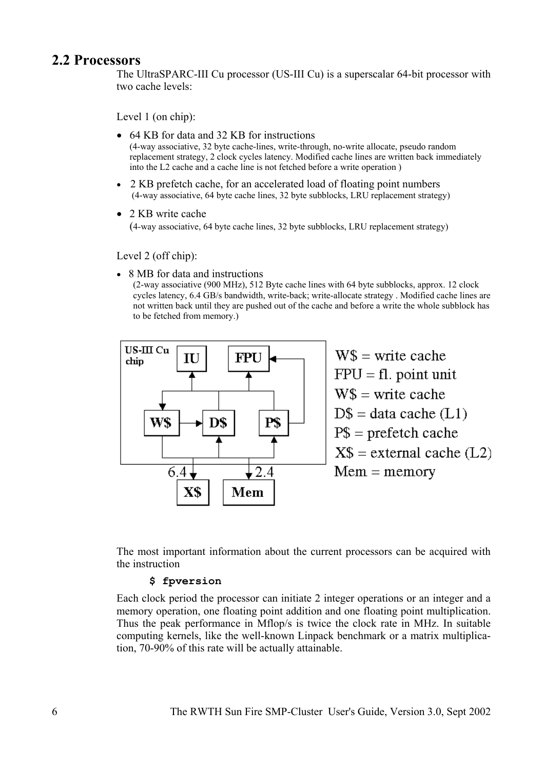# **2.2 Processors**

The UltraSPARC-III Cu processor (US-III Cu) is a superscalar 64-bit processor with two cache levels:

Level 1 (on chip):

- 64 KB for data and 32 KB for instructions (4-way associative, 32 byte cache-lines, write-through, no-write allocate, pseudo random replacement strategy, 2 clock cycles latency. Modified cache lines are written back immediately into the L2 cache and a cache line is not fetched before a write operation )
- 2 KB prefetch cache, for an accelerated load of floating point numbers (4-way associative, 64 byte cache lines, 32 byte subblocks, LRU replacement strategy)
- 2 KB write cache (4-way associative, 64 byte cache lines, 32 byte subblocks, LRU replacement strategy)

Level 2 (off chip):

• 8 MB for data and instructions

(2-way associative (900 MHz), 512 Byte cache lines with 64 byte subblocks, approx. 12 clock cycles latency, 6.4 GB/s bandwidth, write-back; write-allocate strategy . Modified cache lines are not written back until they are pushed out of the cache and before a write the whole subblock has to be fetched from memory.)



The most important information about the current processors can be acquired with the instruction

### **\$ fpversion**

Each clock period the processor can initiate 2 integer operations or an integer and a memory operation, one floating point addition and one floating point multiplication. Thus the peak performance in Mflop/s is twice the clock rate in MHz. In suitable computing kernels, like the well-known Linpack benchmark or a matrix multiplication, 70-90% of this rate will be actually attainable.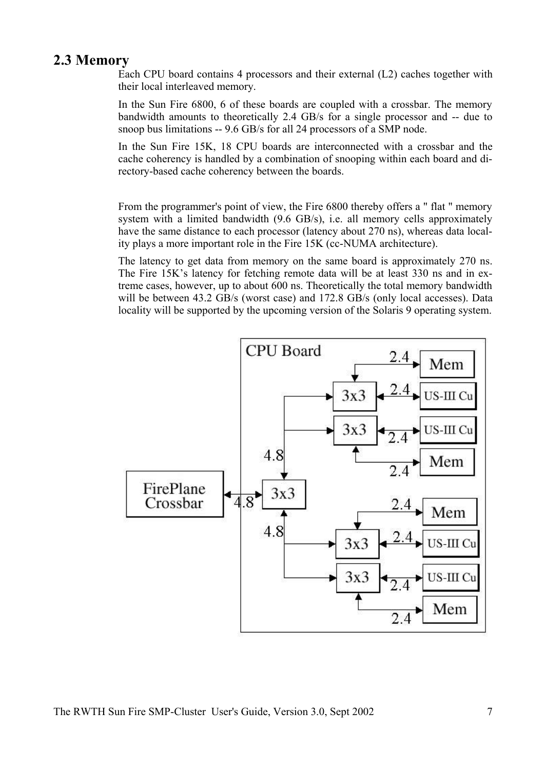# **2.3 Memory**

Each CPU board contains 4 processors and their external (L2) caches together with their local interleaved memory.

In the Sun Fire 6800, 6 of these boards are coupled with a crossbar. The memory bandwidth amounts to theoretically 2.4 GB/s for a single processor and -- due to snoop bus limitations -- 9.6 GB/s for all 24 processors of a SMP node.

In the Sun Fire 15K, 18 CPU boards are interconnected with a crossbar and the cache coherency is handled by a combination of snooping within each board and directory-based cache coherency between the boards.

From the programmer's point of view, the Fire 6800 thereby offers a " flat " memory system with a limited bandwidth (9.6 GB/s), i.e. all memory cells approximately have the same distance to each processor (latency about 270 ns), whereas data locality plays a more important role in the Fire 15K (cc-NUMA architecture).

The latency to get data from memory on the same board is approximately 270 ns. The Fire 15K's latency for fetching remote data will be at least 330 ns and in extreme cases, however, up to about 600 ns. Theoretically the total memory bandwidth will be between 43.2 GB/s (worst case) and 172.8 GB/s (only local accesses). Data locality will be supported by the upcoming version of the Solaris 9 operating system.

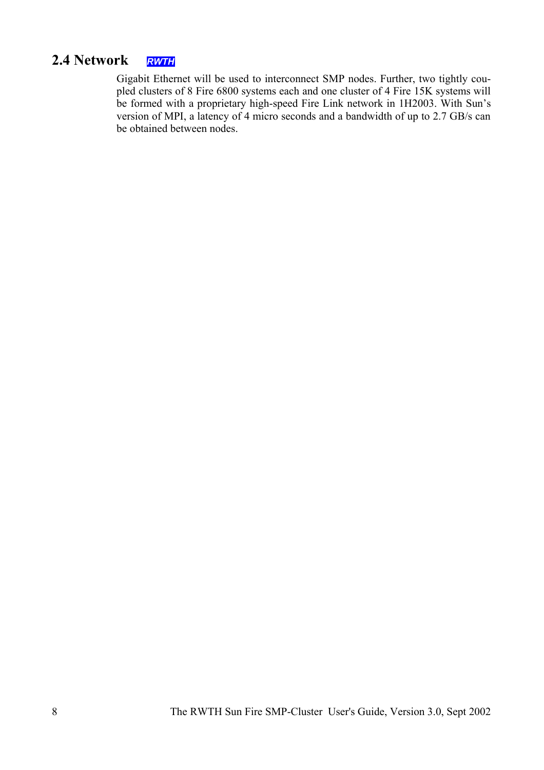# **2.4 Network** *RWTH*

Gigabit Ethernet will be used to interconnect SMP nodes. Further, two tightly coupled clusters of 8 Fire 6800 systems each and one cluster of 4 Fire 15K systems will be formed with a proprietary high-speed Fire Link network in 1H2003. With Sun's version of MPI, a latency of 4 micro seconds and a bandwidth of up to 2.7 GB/s can be obtained between nodes.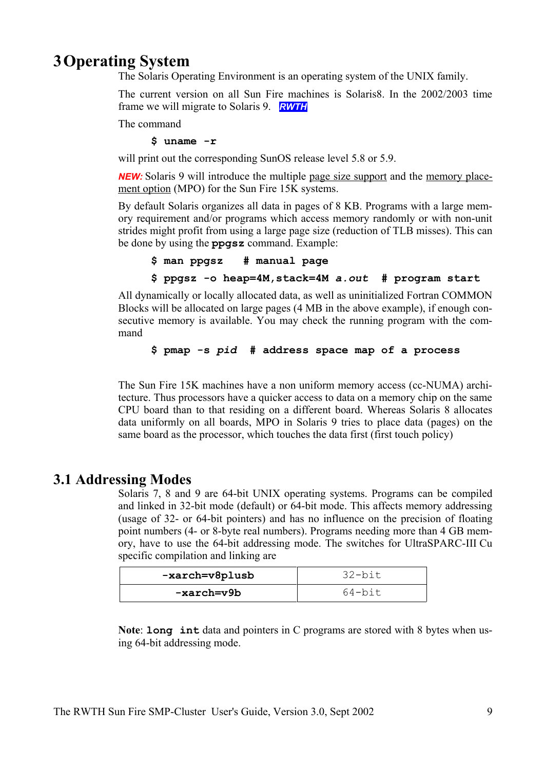# **3Operating System**

The Solaris Operating Environment is an operating system of the UNIX family.

The current version on all Sun Fire machines is Solaris8. In the 2002/2003 time frame we will migrate to Solaris 9. *RWTH*

The command

**\$ uname -r**

will print out the corresponding SunOS release level 5.8 or 5.9.

*NEW:* Solaris 9 will introduce the multiple page size support and the memory placement option (MPO) for the Sun Fire 15K systems.

By default Solaris organizes all data in pages of 8 KB. Programs with a large memory requirement and/or programs which access memory randomly or with non-unit strides might profit from using a large page size (reduction of TLB misses). This can be done by using the **ppgsz** command. Example:

```
$ man ppgsz # manual page
```
**\$ ppgsz -o heap=4M,stack=4M** *a.out* **# program start**

All dynamically or locally allocated data, as well as uninitialized Fortran COMMON Blocks will be allocated on large pages (4 MB in the above example), if enough consecutive memory is available. You may check the running program with the command

**\$ pmap -s** *pid* **# address space map of a process**

The Sun Fire 15K machines have a non uniform memory access (cc-NUMA) architecture. Thus processors have a quicker access to data on a memory chip on the same CPU board than to that residing on a different board. Whereas Solaris 8 allocates data uniformly on all boards, MPO in Solaris 9 tries to place data (pages) on the same board as the processor, which touches the data first (first touch policy)

# **3.1 Addressing Modes**

Solaris 7, 8 and 9 are 64-bit UNIX operating systems. Programs can be compiled and linked in 32-bit mode (default) or 64-bit mode. This affects memory addressing (usage of 32- or 64-bit pointers) and has no influence on the precision of floating point numbers (4- or 8-byte real numbers). Programs needing more than 4 GB memory, have to use the 64-bit addressing mode. The switches for UltraSPARC-III Cu specific compilation and linking are

| -xarch=v8plusb | 32-bit |
|----------------|--------|
| -xarch=v9b     | 64-bit |

**Note**: **long int** data and pointers in C programs are stored with 8 bytes when using 64-bit addressing mode.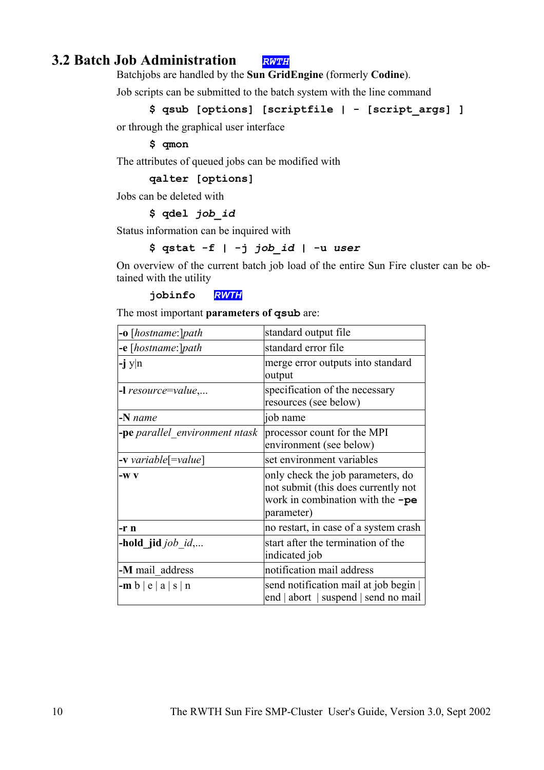# **3.2 Batch Job Administration** *RWTH*

Batchjobs are handled by the **Sun GridEngine** (formerly **Codine**).

Job scripts can be submitted to the batch system with the line command

```
$ qsub [options] [scriptfile | - [script_args] ]
```
or through the graphical user interface

**\$ qmon**

The attributes of queued jobs can be modified with

**qalter [options]**

Jobs can be deleted with

#### **\$ qdel** *job\_id*

Status information can be inquired with

## **\$ qstat -f | -j** *job\_id* **| -u** *user*

On overview of the current batch job load of the entire Sun Fire cluster can be obtained with the utility

**jobinfo** *RWTH*

The most important **parameters of qsub** are:

| <b>-o</b> [hostname:]path             | standard output file                                                                                                             |
|---------------------------------------|----------------------------------------------------------------------------------------------------------------------------------|
| <b>-e</b> [hostname:]path             | standard error file                                                                                                              |
| $-j$ y n                              | merge error outputs into standard<br>output                                                                                      |
| $-I$ resource=value,                  | specification of the necessary<br>resources (see below)                                                                          |
| $-N$ name                             | job name                                                                                                                         |
| <b>-pe</b> parallel environment ntask | processor count for the MPI<br>environment (see below)                                                                           |
| <b>-v</b> variable[=value]            | set environment variables                                                                                                        |
| $-WV$                                 | only check the job parameters, do<br>not submit (this does currently not<br>work in combination with the $\neg$ pe<br>parameter) |
| -r n                                  | no restart, in case of a system crash                                                                                            |
| -hold jid <i>job</i> id,              | start after the termination of the<br>indicated job                                                                              |
| -M mail address                       | notification mail address                                                                                                        |
| $-m b  e a  s n$                      | send notification mail at job begin<br>end   abort   suspend   send no mail                                                      |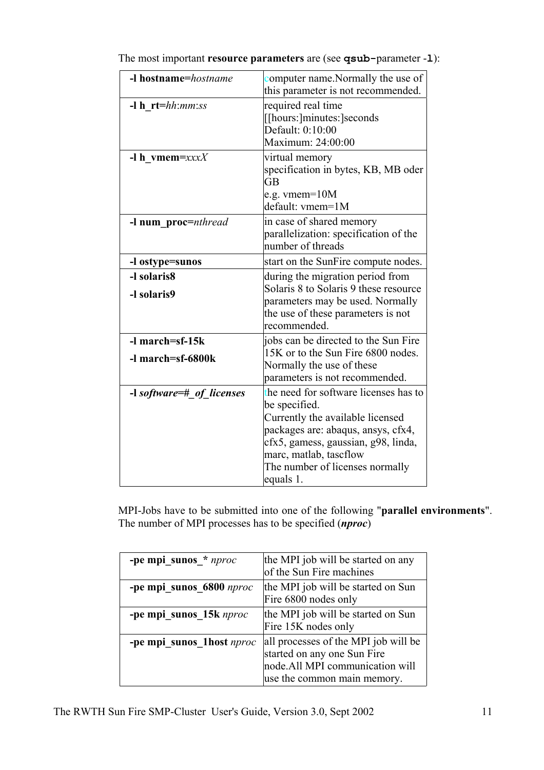| -I hostname=hostname                           | computer name. Normally the use of<br>this parameter is not recommended.                                                                                                                                                                          |
|------------------------------------------------|---------------------------------------------------------------------------------------------------------------------------------------------------------------------------------------------------------------------------------------------------|
| $-l \, h \, rt=hh:mm:ss$                       | required real time<br>[[hours:]minutes:]seconds<br>Default: 0:10:00<br>Maximum: 24:00:00                                                                                                                                                          |
| -I h vmem= $xxxX$                              | virtual memory<br>specification in bytes, KB, MB oder<br><b>GB</b><br>e.g. vmem= $10M$<br>default: vmem=1M                                                                                                                                        |
| -l num proc=nthread                            | in case of shared memory<br>parallelization: specification of the<br>number of threads                                                                                                                                                            |
| -l ostype=sunos                                | start on the SunFire compute nodes.                                                                                                                                                                                                               |
| -I solaris8<br>-l solaris9                     | during the migration period from<br>Solaris 8 to Solaris 9 these resource<br>parameters may be used. Normally<br>the use of these parameters is not<br>recommended.                                                                               |
| $-l$ march=sf-15 $k$<br>$-1$ march=sf-6800 $k$ | jobs can be directed to the Sun Fire<br>15K or to the Sun Fire 6800 nodes.<br>Normally the use of these<br>parameters is not recommended.                                                                                                         |
| -l software=# of licenses                      | the need for software licenses has to<br>be specified.<br>Currently the available licensed<br>packages are: abaqus, ansys, cfx4,<br>cfx5, gamess, gaussian, g98, linda,<br>marc, matlab, tascflow<br>The number of licenses normally<br>equals 1. |

The most important **resource parameters** are (see **qsub-**parameter -**l**):

MPI-Jobs have to be submitted into one of the following "**parallel environments**". The number of MPI processes has to be specified (*nproc*)

| -pe mpi sunos * nproc      | the MPI job will be started on any<br>of the Sun Fire machines                                                                         |
|----------------------------|----------------------------------------------------------------------------------------------------------------------------------------|
| -pe mpi sunos 6800 nproc   | the MPI job will be started on Sun<br>Fire 6800 nodes only                                                                             |
| -pe mpi sunos 15k nproc    | the MPI job will be started on Sun<br>Fire 15K nodes only                                                                              |
| -pe mpi sunos 1 host nproc | all processes of the MPI job will be<br>started on any one Sun Fire<br>node. All MPI communication will<br>use the common main memory. |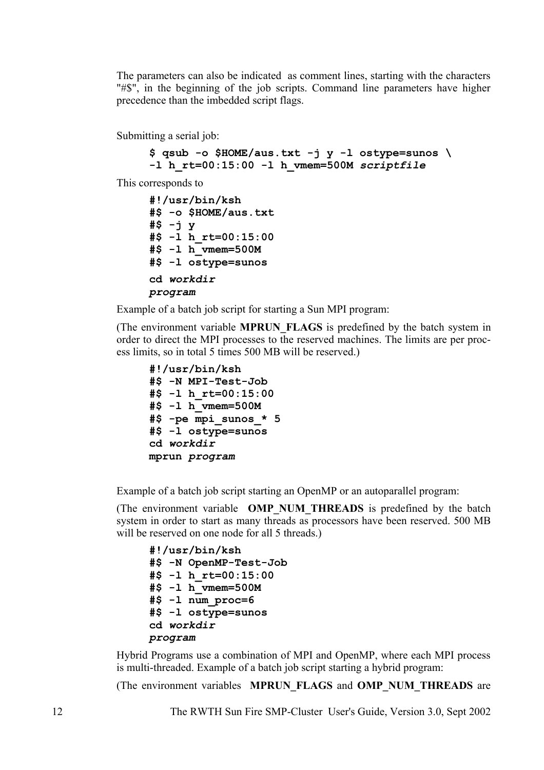The parameters can also be indicated as comment lines, starting with the characters "#\$", in the beginning of the job scripts. Command line parameters have higher precedence than the imbedded script flags.

Submitting a serial job:

```
$ qsub -o $HOME/aus.txt -j y -l ostype=sunos \
-l h_rt=00:15:00 -l h_vmem=500M scriptfile
```
This corresponds to

```
#!/usr/bin/ksh
#$ -o $HOME/aus.txt
#$ -j y
#$ -l h_rt=00:15:00
#$ -l h_vmem=500M
#$ -l ostype=sunos
cd workdir
program
```
Example of a batch job script for starting a Sun MPI program:

(The environment variable **MPRUN\_FLAGS** is predefined by the batch system in order to direct the MPI processes to the reserved machines. The limits are per process limits, so in total 5 times 500 MB will be reserved.)

```
#!/usr/bin/ksh
#$ -N MPI-Test-Job
#$ -l h_rt=00:15:00
#$ -l h_vmem=500M
#$ -pe mpi_sunos_* 5
#$ -l ostype=sunos
cd workdir
mprun program
```
Example of a batch job script starting an OpenMP or an autoparallel program:

(The environment variable **OMP\_NUM\_THREADS** is predefined by the batch system in order to start as many threads as processors have been reserved. 500 MB will be reserved on one node for all 5 threads.)

**#!/usr/bin/ksh #\$ -N OpenMP-Test-Job #\$ -l h\_rt=00:15:00 #\$ -l h\_vmem=500M #\$ -l num\_proc=6 #\$ -l ostype=sunos cd** *workdir program*

Hybrid Programs use a combination of MPI and OpenMP, where each MPI process is multi-threaded. Example of a batch job script starting a hybrid program:

(The environment variables **MPRUN\_FLAGS** and **OMP\_NUM\_THREADS** are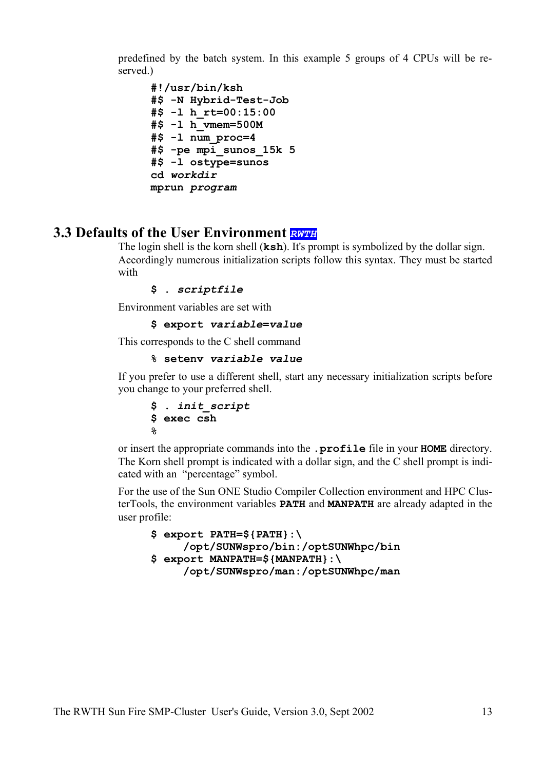predefined by the batch system. In this example 5 groups of 4 CPUs will be reserved.)

```
#!/usr/bin/ksh
#$ -N Hybrid-Test-Job
#$ -l h_rt=00:15:00
#$ -l h_vmem=500M
#$ -l num_proc=4
#$ -pe mpi_sunos_15k 5
#$ -l ostype=sunos
cd workdir
mprun program
```
# **3.3 Defaults of the User Environment** *RWTH*

The login shell is the korn shell (**ksh**). It's prompt is symbolized by the dollar sign. Accordingly numerous initialization scripts follow this syntax. They must be started with

```
$ . scriptfile
```
Environment variables are set with

```
$ export variable=value
```
This corresponds to the C shell command

```
% setenv variable value
```
If you prefer to use a different shell, start any necessary initialization scripts before you change to your preferred shell.

```
$ . init_script
$ exec csh
%
```
or insert the appropriate commands into the **.profile** file in your **HOME** directory. The Korn shell prompt is indicated with a dollar sign, and the C shell prompt is indicated with an "percentage" symbol.

For the use of the Sun ONE Studio Compiler Collection environment and HPC ClusterTools, the environment variables **PATH** and **MANPATH** are already adapted in the user profile:

```
$ export PATH=${PATH}:\
    /opt/SUNWspro/bin:/optSUNWhpc/bin
$ export MANPATH=${MANPATH}:\
    /opt/SUNWspro/man:/optSUNWhpc/man
```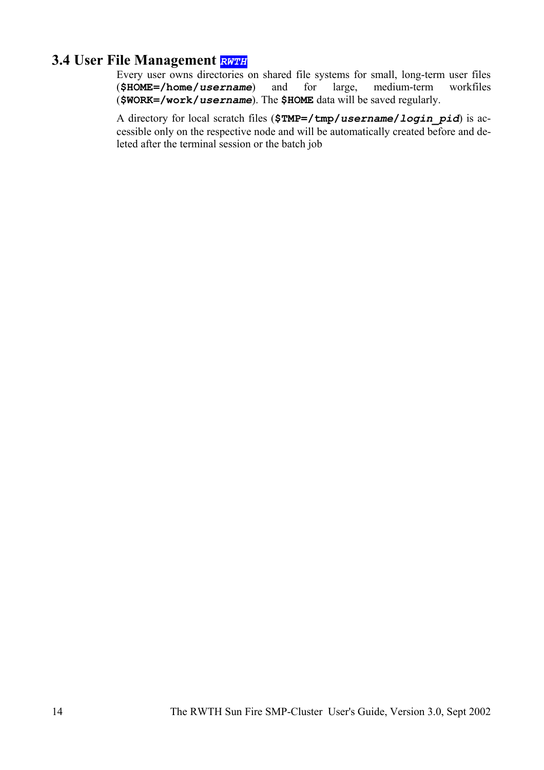# **3.4 User File Management** *RWTH*

Every user owns directories on shared file systems for small, long-term user files (**\$HOME=/home/***username*) and for large, medium-term workfiles (**\$WORK=/work/***username*). The **\$HOME** data will be saved regularly.

A directory for local scratch files (**\$TMP=/tmp/***username***/***login\_pid*) is accessible only on the respective node and will be automatically created before and deleted after the terminal session or the batch job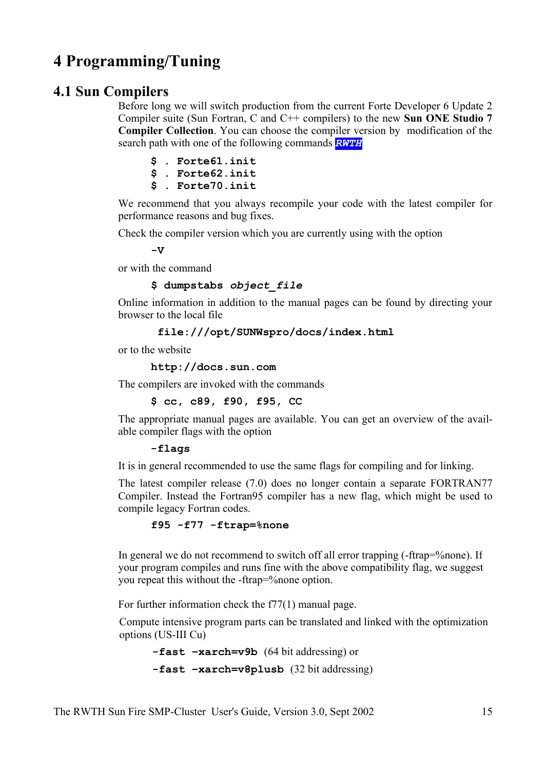# **4 Programming/Tuning**

# **4.1 Sun Compilers**

Before long we will switch production from the current Forte Developer 6 Update 2 Compiler suite (Sun Fortran, C and C++ compilers) to the new **Sun ONE Studio 7 Compiler Collection**. You can choose the compiler version by modification of the search path with one of the following commands *RWTH*

|  | $$$ . Forte $61$ . init |
|--|-------------------------|
|  | $$$ . Forte $62$ . init |
|  | $$$ . Forte $70$ . init |

We recommend that you always recompile your code with the latest compiler for performance reasons and bug fixes.

Check the compiler version which you are currently using with the option

 $-V$ 

or with the command

### **\$ dumpstabs** *object\_file*

Online information in addition to the manual pages can be found by directing your browser to the local file

 **file:///opt/SUNWspro/docs/index.html**

or to the website

**http://docs.sun.com**

The compilers are invoked with the commands

**\$ cc, c89, f90, f95, CC** 

The appropriate manual pages are available. You can get an overview of the available compiler flags with the option

### **-flags**

It is in general recommended to use the same flags for compiling and for linking.

The latest compiler release (7.0) does no longer contain a separate FORTRAN77 Compiler. Instead the Fortran95 compiler has a new flag, which might be used to compile legacy Fortran codes.

### **f95 -f77 -ftrap=%none**

In general we do not recommend to switch off all error trapping (-ftrap=%none). If your program compiles and runs fine with the above compatibility flag, we suggest you repeat this without the -ftrap=%none option.

For further information check the f77(1) manual page.

Compute intensive program parts can be translated and linked with the optimization options (US-III Cu)

**-fast –xarch=v9b** (64 bit addressing) or

**-fast –xarch=v8plusb** (32 bit addressing)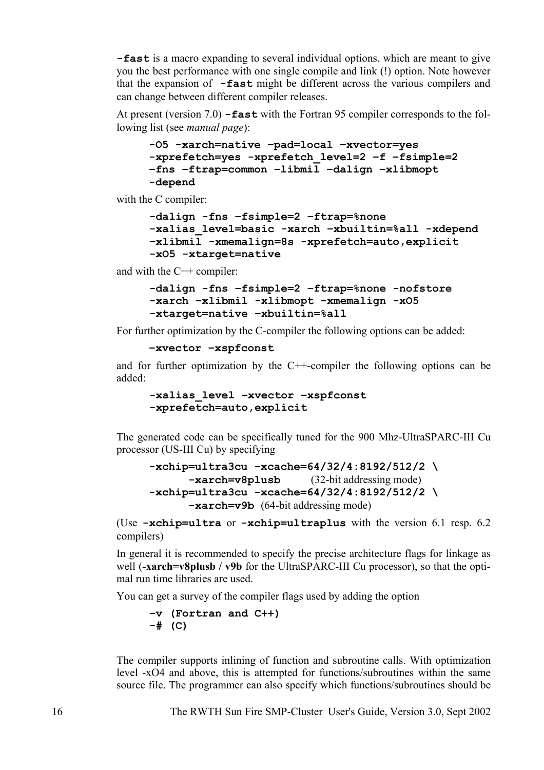**-fast** is a macro expanding to several individual options, which are meant to give you the best performance with one single compile and link (!) option. Note however that the expansion of **-fast** might be different across the various compilers and can change between different compiler releases.

At present (version 7.0) **-fast** with the Fortran 95 compiler corresponds to the following list (see *manual page*):

```
-O5 -xarch=native –pad=local –xvector=yes 
-xprefetch=yes -xprefetch_level=2 –f –fsimple=2
–fns –ftrap=common –libmil –dalign –xlibmopt 
-depend
```
with the C compiler:

```
-dalign -fns –fsimple=2 –ftrap=%none
-xalias_level=basic -xarch –xbuiltin=%all -xdepend
–xlibmil -xmemalign=8s -xprefetch=auto,explicit
-xO5 -xtarget=native
```
and with the C++ compiler:

```
-dalign -fns –fsimple=2 –ftrap=%none -nofstore
-xarch –xlibmil -xlibmopt -xmemalign -xO5
-xtarget=native –xbuiltin=%all
```
For further optimization by the C-compiler the following options can be added:

```
–xvector –xspfconst
```
and for further optimization by the C++-compiler the following options can be added:

```
-xalias_level –xvector –xspfconst
-xprefetch=auto,explicit
```
The generated code can be specifically tuned for the 900 Mhz-UltraSPARC-III Cu processor (US-III Cu) by specifying

```
-xchip=ultra3cu -xcache=64/32/4:8192/512/2 \
      -xarch=v8plusb (32-bit addressing mode)
-xchip=ultra3cu -xcache=64/32/4:8192/512/2 \
      -xarch=v9b (64-bit addressing mode)
```
(Use **-xchip=ultra** or **-xchip=ultraplus** with the version 6.1 resp. 6.2 compilers)

In general it is recommended to specify the precise architecture flags for linkage as well (**-xarch=v8plusb / v9b** for the UltraSPARC-III Cu processor), so that the optimal run time libraries are used.

You can get a survey of the compiler flags used by adding the option

```
–v (Fortran and C++)
-# (C)
```
The compiler supports inlining of function and subroutine calls. With optimization level -xO4 and above, this is attempted for functions/subroutines within the same source file. The programmer can also specify which functions/subroutines should be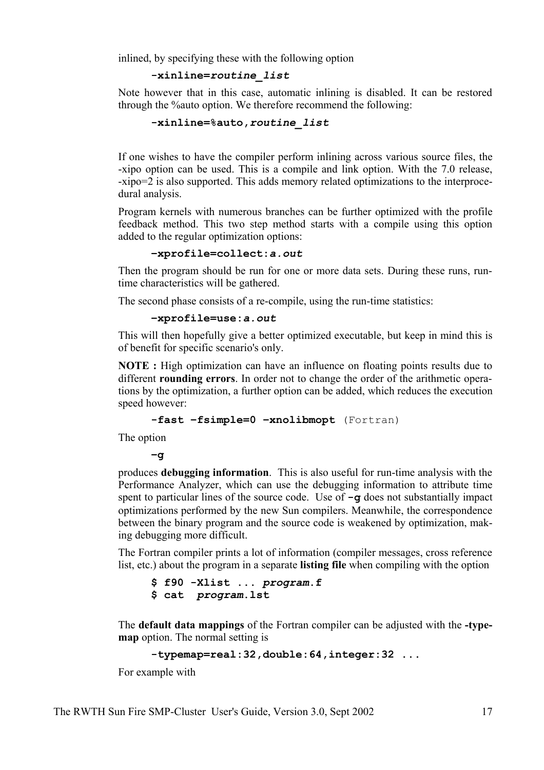inlined, by specifying these with the following option

```
-xinline=routine_list
```
Note however that in this case, automatic inlining is disabled. It can be restored through the %auto option. We therefore recommend the following:

```
-xinline=%auto,routine_list
```
If one wishes to have the compiler perform inlining across various source files, the -xipo option can be used. This is a compile and link option. With the 7.0 release, -xipo=2 is also supported. This adds memory related optimizations to the interprocedural analysis.

Program kernels with numerous branches can be further optimized with the profile feedback method. This two step method starts with a compile using this option added to the regular optimization options:

```
–xprofile=collect:a.out
```
Then the program should be run for one or more data sets. During these runs, runtime characteristics will be gathered.

The second phase consists of a re-compile, using the run-time statistics:

**–xprofile=use:***a.out*

This will then hopefully give a better optimized executable, but keep in mind this is of benefit for specific scenario's only.

**NOTE :** High optimization can have an influence on floating points results due to different **rounding errors**. In order not to change the order of the arithmetic operations by the optimization, a further option can be added, which reduces the execution speed however:

```
-fast –fsimple=0 –xnolibmopt (Fortran)
```
The option

**–g** 

produces **debugging information**. This is also useful for run-time analysis with the Performance Analyzer, which can use the debugging information to attribute time spent to particular lines of the source code. Use of **-g** does not substantially impact optimizations performed by the new Sun compilers. Meanwhile, the correspondence between the binary program and the source code is weakened by optimization, making debugging more difficult.

The Fortran compiler prints a lot of information (compiler messages, cross reference list, etc.) about the program in a separate **listing file** when compiling with the option

**\$ f90 -Xlist ...** *program***.f \$ cat** *program***.lst** 

The **default data mappings** of the Fortran compiler can be adjusted with the **-typemap** option. The normal setting is

```
-typemap=real:32,double:64,integer:32 ...
```
For example with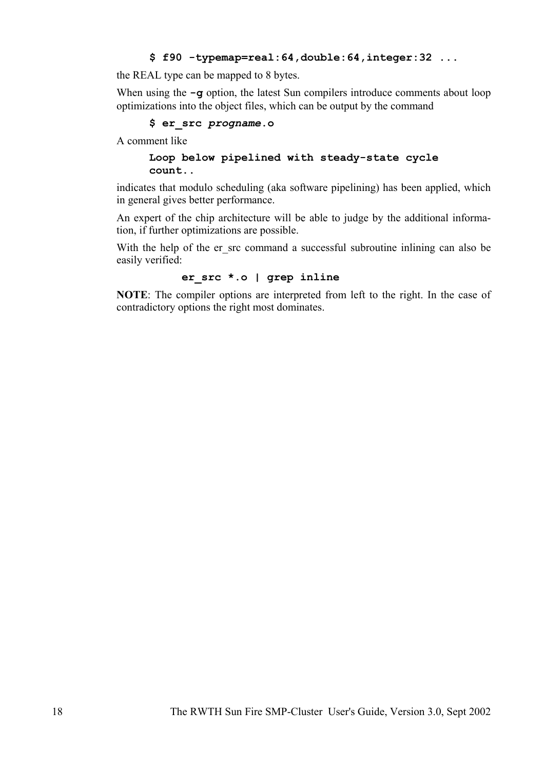### **\$ f90 -typemap=real:64,double:64,integer:32 ...**

the REAL type can be mapped to 8 bytes.

When using the **-g** option, the latest Sun compilers introduce comments about loop optimizations into the object files, which can be output by the command

### **\$ er\_src** *progname***.o**

A comment like

### **Loop below pipelined with steady-state cycle count..**

indicates that modulo scheduling (aka software pipelining) has been applied, which in general gives better performance.

An expert of the chip architecture will be able to judge by the additional information, if further optimizations are possible.

With the help of the er\_src command a successful subroutine inlining can also be easily verified:

### **er\_src \*.o | grep inline**

**NOTE**: The compiler options are interpreted from left to the right. In the case of contradictory options the right most dominates.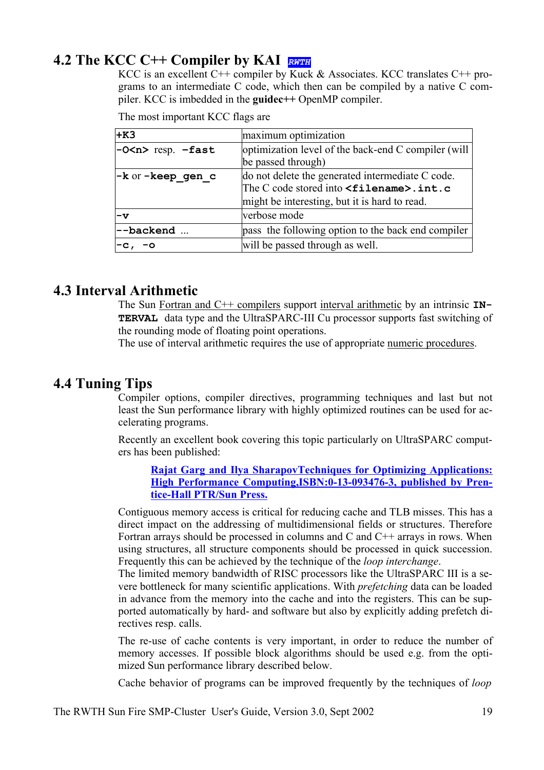# **4.2 The KCC C++ Compiler by KAI** *RWTH*

KCC is an excellent C++ compiler by Kuck & Associates. KCC translates C++ programs to an intermediate C code, which then can be compiled by a native C compiler. KCC is imbedded in the **guidec++** OpenMP compiler.

The most important KCC flags are

| $+K3$                                 | maximum optimization                                                                                                                                     |  |
|---------------------------------------|----------------------------------------------------------------------------------------------------------------------------------------------------------|--|
| $-0$ <n> resp. <math>-fast</math></n> | optimization level of the back-end C compiler (will<br>be passed through)                                                                                |  |
| -k or -keep gen c                     | do not delete the generated intermediate C code.<br>The C code stored into <filename>.int.c<br/>might be interesting, but it is hard to read.</filename> |  |
| $-\mathbf{v}$                         | verbose mode                                                                                                                                             |  |
| --backend                             | pass the following option to the back end compiler                                                                                                       |  |
| $-c, -o$                              | will be passed through as well.                                                                                                                          |  |

# **4.3 Interval Arithmetic**

The Sun Fortran and C++ compilers support interval arithmetic by an intrinsic **IN-TERVAL** data type and the UltraSPARC-III Cu processor supports fast switching of the rounding mode of floating point operations.

The use of interval arithmetic requires the use of appropriate numeric procedures.

## **4.4 Tuning Tips**

Compiler options, compiler directives, programming techniques and last but not least the Sun performance library with highly optimized routines can be used for accelerating programs.

Recently an excellent book covering this topic particularly on UltraSPARC computers has been published:

**Rajat Garg and Ilya SharapovTechniques for Optimizing Applications: High Performance Computing,ISBN:0-13-093476-3, published by Prentice-Hall PTR/Sun Press.**

Contiguous memory access is critical for reducing cache and TLB misses. This has a direct impact on the addressing of multidimensional fields or structures. Therefore Fortran arrays should be processed in columns and C and  $C_{++}$  arrays in rows. When using structures, all structure components should be processed in quick succession. Frequently this can be achieved by the technique of the *loop interchange*.

The limited memory bandwidth of RISC processors like the UltraSPARC III is a severe bottleneck for many scientific applications. With *prefetching* data can be loaded in advance from the memory into the cache and into the registers. This can be supported automatically by hard- and software but also by explicitly adding prefetch directives resp. calls.

The re-use of cache contents is very important, in order to reduce the number of memory accesses. If possible block algorithms should be used e.g. from the optimized Sun performance library described below.

Cache behavior of programs can be improved frequently by the techniques of *loop*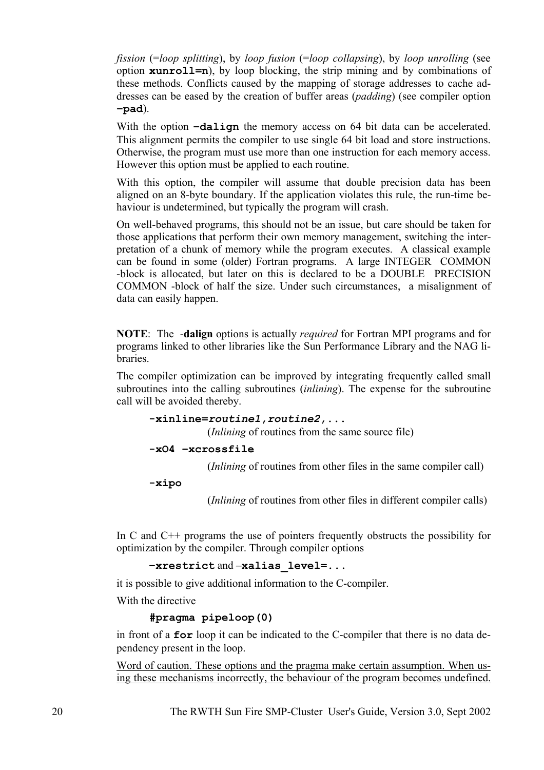*fission* (=*loop splitting*), by *loop fusion* (=*loop collapsing*), by *loop unrolling* (see option **xunroll=n**), by loop blocking, the strip mining and by combinations of these methods. Conflicts caused by the mapping of storage addresses to cache addresses can be eased by the creation of buffer areas (*padding*) (see compiler option **–pad**).

With the option  $-dalign$  the memory access on 64 bit data can be accelerated. This alignment permits the compiler to use single 64 bit load and store instructions. Otherwise, the program must use more than one instruction for each memory access. However this option must be applied to each routine.

With this option, the compiler will assume that double precision data has been aligned on an 8-byte boundary. If the application violates this rule, the run-time behaviour is undetermined, but typically the program will crash.

On well-behaved programs, this should not be an issue, but care should be taken for those applications that perform their own memory management, switching the interpretation of a chunk of memory while the program executes. A classical example can be found in some (older) Fortran programs. A large INTEGER COMMON -block is allocated, but later on this is declared to be a DOUBLE PRECISION COMMON -block of half the size. Under such circumstances, a misalignment of data can easily happen.

**NOTE**: The -**dalign** options is actually *required* for Fortran MPI programs and for programs linked to other libraries like the Sun Performance Library and the NAG libraries.

The compiler optimization can be improved by integrating frequently called small subroutines into the calling subroutines (*inlining*). The expense for the subroutine call will be avoided thereby.

```
-xinline=routine1,routine2,...
```
(*Inlining* of routines from the same source file)

```
-xO4 –xcrossfile
```
(*Inlining* of routines from other files in the same compiler call)

**-xipo** 

(*Inlining* of routines from other files in different compiler calls)

In C and C++ programs the use of pointers frequently obstructs the possibility for optimization by the compiler. Through compiler options

```
–xrestrict and –xalias_level=...
```
it is possible to give additional information to the C-compiler.

With the directive

### **#pragma pipeloop(0)**

in front of a **for** loop it can be indicated to the C-compiler that there is no data dependency present in the loop.

Word of caution. These options and the pragma make certain assumption. When using these mechanisms incorrectly, the behaviour of the program becomes undefined.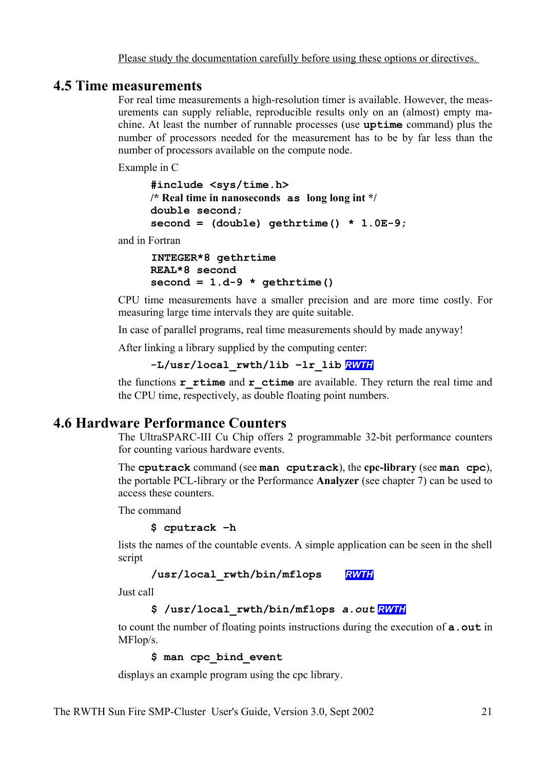# **4.5 Time measurements**

For real time measurements a high-resolution timer is available. However, the measurements can supply reliable, reproducible results only on an (almost) empty machine. At least the number of runnable processes (use **uptime** command) plus the number of processors needed for the measurement has to be by far less than the number of processors available on the compute node.

Example in C

**#include <sys/time.h> /\* Real time in nanoseconds as long long int \*/ double second; second = (double) gethrtime() \* 1.0E-9;**

and in Fortran

**INTEGER\*8 gethrtime REAL\*8 second**  $second = 1.d-9 * qethrtime()$ 

CPU time measurements have a smaller precision and are more time costly. For measuring large time intervals they are quite suitable.

In case of parallel programs, real time measurements should by made anyway!

After linking a library supplied by the computing center:

**-L/usr/local\_rwth/lib –lr\_lib** *RWTH*

the functions **r** rtime and **r** ctime are available. They return the real time and the CPU time, respectively, as double floating point numbers.

# **4.6 Hardware Performance Counters**

The UltraSPARC-III Cu Chip offers 2 programmable 32-bit performance counters for counting various hardware events.

The **cputrack** command (see **man cputrack**), the **cpc-library** (see **man cpc**), the portable PCL-library or the Performance **Analyzer** (see chapter 7) can be used to access these counters.

The command

**\$ cputrack –h**

lists the names of the countable events. A simple application can be seen in the shell script

**/usr/local\_rwth/bin/mflops** *RWTH*

Just call

```
$ /usr/local_rwth/bin/mflops a.out RWTH
```
to count the number of floating points instructions during the execution of **a.out** in MFlop/s.

**\$ man cpc\_bind\_event**

displays an example program using the cpc library.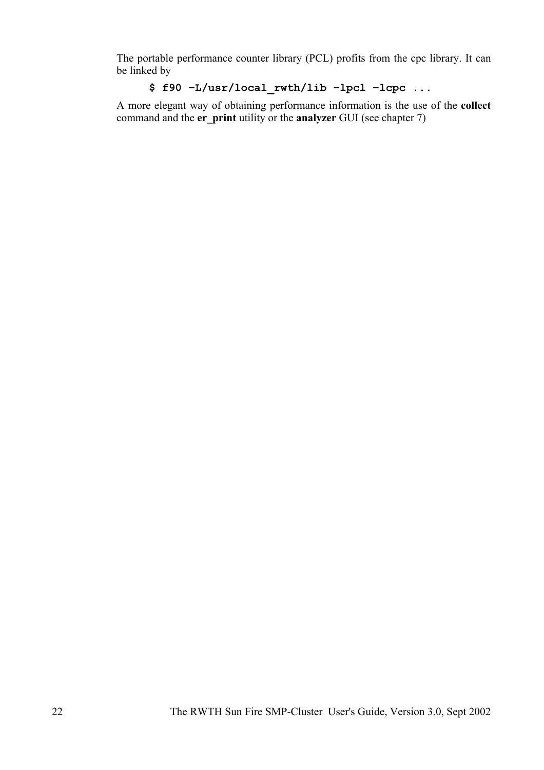The portable performance counter library (PCL) profits from the cpc library. It can be linked by

# **\$ f90 –L/usr/local\_rwth/lib –lpcl –lcpc ...**

A more elegant way of obtaining performance information is the use of the **collect** command and the **er** print utility or the **analyzer** GUI (see chapter 7)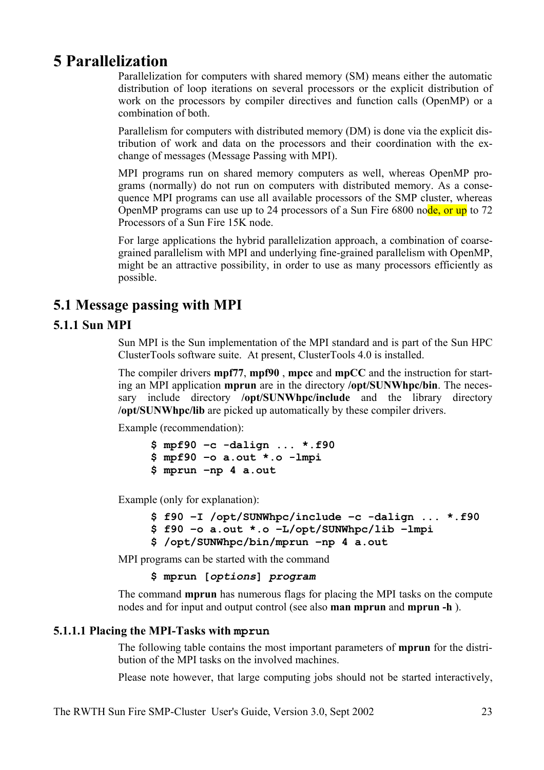# **5 Parallelization**

Parallelization for computers with shared memory (SM) means either the automatic distribution of loop iterations on several processors or the explicit distribution of work on the processors by compiler directives and function calls (OpenMP) or a combination of both.

Parallelism for computers with distributed memory (DM) is done via the explicit distribution of work and data on the processors and their coordination with the exchange of messages (Message Passing with MPI).

MPI programs run on shared memory computers as well, whereas OpenMP programs (normally) do not run on computers with distributed memory. As a consequence MPI programs can use all available processors of the SMP cluster, whereas OpenMP programs can use up to 24 processors of a Sun Fire 6800 node, or up to 72 Processors of a Sun Fire 15K node.

For large applications the hybrid parallelization approach, a combination of coarsegrained parallelism with MPI and underlying fine-grained parallelism with OpenMP, might be an attractive possibility, in order to use as many processors efficiently as possible.

# **5.1 Message passing with MPI**

# **5.1.1 Sun MPI**

Sun MPI is the Sun implementation of the MPI standard and is part of the Sun HPC ClusterTools software suite. At present, ClusterTools 4.0 is installed.

The compiler drivers **mpf77**, **mpf90** , **mpcc** and **mpCC** and the instruction for starting an MPI application **mprun** are in the directory **/opt/SUNWhpc/bin**. The necessary include directory **/opt/SUNWhpc/include** and the library directory **/opt/SUNWhpc/lib** are picked up automatically by these compiler drivers.

Example (recommendation):

**\$ mpf90 –c -dalign ... \*.f90 \$ mpf90 –o a.out \*.o -lmpi \$ mprun –np 4 a.out**

Example (only for explanation):

```
$ f90 –I /opt/SUNWhpc/include –c -dalign ... *.f90
$ f90 –o a.out *.o –L/opt/SUNWhpc/lib –lmpi
$ /opt/SUNWhpc/bin/mprun –np 4 a.out
```
MPI programs can be started with the command

**\$ mprun [***options***]** *program*

The command **mprun** has numerous flags for placing the MPI tasks on the compute nodes and for input and output control (see also **man mprun** and **mprun -h** ).

## **5.1.1.1 Placing the MPI-Tasks with mprun**

The following table contains the most important parameters of **mprun** for the distribution of the MPI tasks on the involved machines.

Please note however, that large computing jobs should not be started interactively,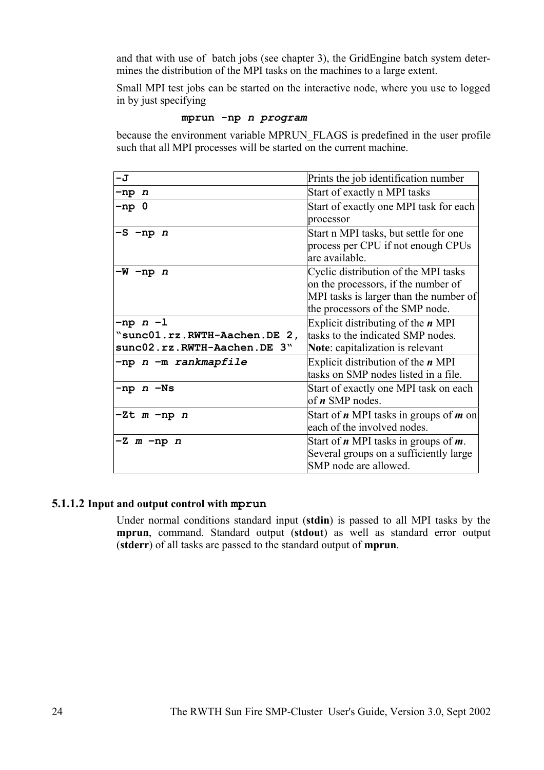and that with use of batch jobs (see chapter 3), the GridEngine batch system determines the distribution of the MPI tasks on the machines to a large extent.

Small MPI test jobs can be started on the interactive node, where you use to logged in by just specifying

```
mprun -np n program
```
because the environment variable MPRUN\_FLAGS is predefined in the user profile such that all MPI processes will be started on the current machine.

| -J                           | Prints the job identification number                                                                                                                     |
|------------------------------|----------------------------------------------------------------------------------------------------------------------------------------------------------|
| $-np$ n                      | Start of exactly n MPI tasks                                                                                                                             |
| -np 0                        | Start of exactly one MPI task for each<br>processor                                                                                                      |
| -S -np n                     | Start n MPI tasks, but settle for one<br>process per CPU if not enough CPUs<br>are available.                                                            |
| $-W$ -np $n$                 | Cyclic distribution of the MPI tasks<br>on the processors, if the number of<br>MPI tasks is larger than the number of<br>the processors of the SMP node. |
| $-np$ $n-1$                  | Explicit distributing of the $n$ MPI                                                                                                                     |
| "sunc01.rz.RWTH-Aachen.DE 2, | tasks to the indicated SMP nodes.                                                                                                                        |
| sunc02.rz.RWTH-Aachen.DE 3"  | <b>Note:</b> capitalization is relevant                                                                                                                  |
| -np n -m rankmapfile         | Explicit distribution of the $n$ MPI<br>tasks on SMP nodes listed in a file.                                                                             |
| $-np$ $n$ $-Ns$              | Start of exactly one MPI task on each<br>of $n$ SMP nodes.                                                                                               |
| $-Zt$ m $-np$ n              | Start of $n$ MPI tasks in groups of $m$ on<br>each of the involved nodes.                                                                                |
| $-Z$ m $-np$ n               | Start of $n$ MPI tasks in groups of $m$ .<br>Several groups on a sufficiently large<br>SMP node are allowed.                                             |

## **5.1.1.2 Input and output control with mprun**

Under normal conditions standard input (**stdin**) is passed to all MPI tasks by the **mprun**, command. Standard output (**stdout**) as well as standard error output (**stderr**) of all tasks are passed to the standard output of **mprun**.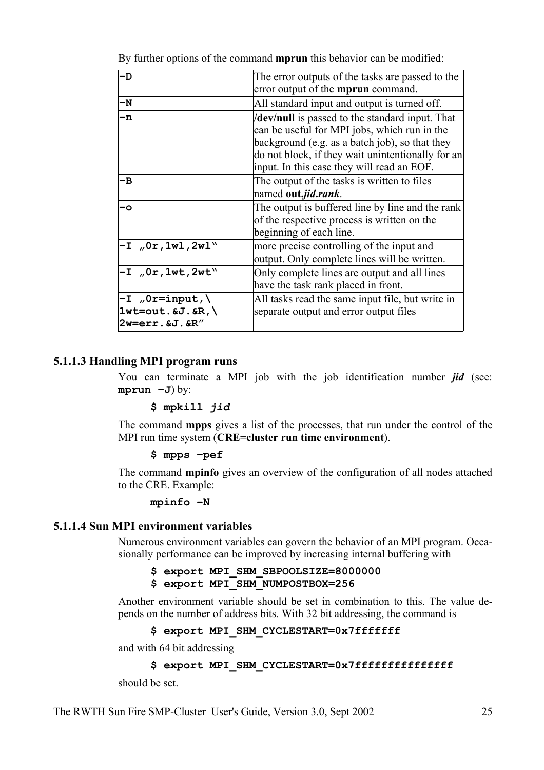| -D                                                                                  | The error outputs of the tasks are passed to the<br>error output of the <b>mprun</b> command.                                                                                                                                                              |
|-------------------------------------------------------------------------------------|------------------------------------------------------------------------------------------------------------------------------------------------------------------------------------------------------------------------------------------------------------|
| -N                                                                                  | All standard input and output is turned off.                                                                                                                                                                                                               |
| -n                                                                                  | <b>dev/null</b> is passed to the standard input. That<br>can be useful for MPI jobs, which run in the<br>background (e.g. as a batch job), so that they<br>do not block, if they wait unintentionally for an<br>input. In this case they will read an EOF. |
| -B                                                                                  | The output of the tasks is written to files<br>named out.jid.rank.                                                                                                                                                                                         |
| -٥                                                                                  | The output is buffered line by line and the rank<br>of the respective process is written on the<br>beginning of each line.                                                                                                                                 |
| $-1$ , $0r$ , $1wl$ , $2wl$                                                         | more precise controlling of the input and<br>output. Only complete lines will be written.                                                                                                                                                                  |
| $-T$ , $0r$ , 1wt, 2wt"                                                             | Only complete lines are output and all lines<br>have the task rank placed in front.                                                                                                                                                                        |
| $-T$ , $0r=$ input, $\setminus$<br>$1$ wt=out. $6J. 6R$ ,<br>$2w=err.$ $6J.$ $6R''$ | All tasks read the same input file, but write in<br>separate output and error output files                                                                                                                                                                 |

By further options of the command **mprun** this behavior can be modified:

## **5.1.1.3 Handling MPI program runs**

You can terminate a MPI job with the job identification number *jid* (see: **mprun –J**) by:

### **\$ mpkill** *jid*

The command **mpps** gives a list of the processes, that run under the control of the MPI run time system (**CRE=cluster run time environment**).

### **\$ mpps –pef**

The command **mpinfo** gives an overview of the configuration of all nodes attached to the CRE. Example:

#### **mpinfo –N**

### **5.1.1.4 Sun MPI environment variables**

Numerous environment variables can govern the behavior of an MPI program. Occasionally performance can be improved by increasing internal buffering with

**\$ export MPI\_SHM\_SBPOOLSIZE=8000000 \$ export MPI\_SHM\_NUMPOSTBOX=256**

Another environment variable should be set in combination to this. The value depends on the number of address bits. With 32 bit addressing, the command is

```
$ export MPI_SHM_CYCLESTART=0x7fffffff
```
and with 64 bit addressing

```
$ export MPI SHM CYCLESTART=0x7ffffffffffffffff
```
should be set.

The RWTH Sun Fire SMP-Cluster User's Guide, Version 3.0, Sept 2002 25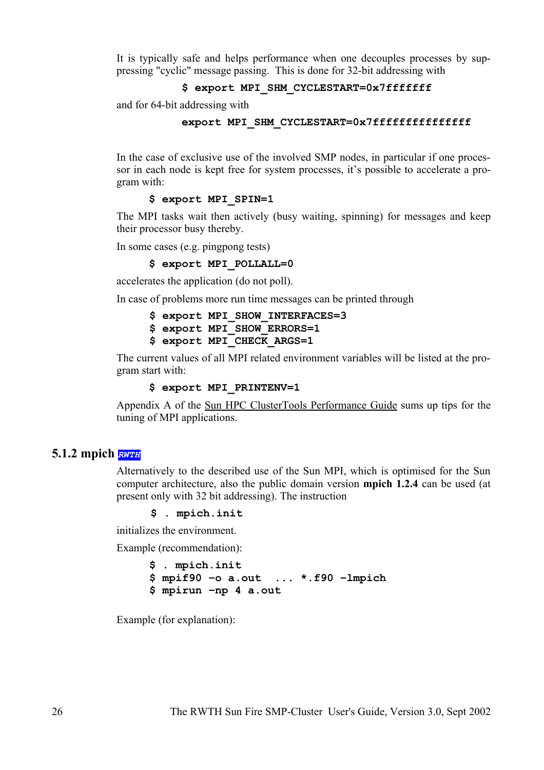It is typically safe and helps performance when one decouples processes by suppressing "cyclic" message passing. This is done for 32-bit addressing with

### **\$ export MPI\_SHM\_CYCLESTART=0x7fffffff**

and for 64-bit addressing with

#### **export MPI\_SHM\_CYCLESTART=0x7fffffffffffffff**

In the case of exclusive use of the involved SMP nodes, in particular if one processor in each node is kept free for system processes, it's possible to accelerate a program with:

### **\$ export MPI\_SPIN=1**

The MPI tasks wait then actively (busy waiting, spinning) for messages and keep their processor busy thereby.

In some cases (e.g. pingpong tests)

**\$ export MPI\_POLLALL=0**

accelerates the application (do not poll).

In case of problems more run time messages can be printed through

|  |  | \$ export MPI SHOW INTERFACES=3 |
|--|--|---------------------------------|
|  |  | \$ export MPI SHOW ERRORS=1     |
|  |  | \$ export MPI CHECK ARGS=1      |

The current values of all MPI related environment variables will be listed at the program start with:

#### **\$ export MPI\_PRINTENV=1**

Appendix A of the Sun HPC ClusterTools Performance Guide sums up tips for the tuning of MPI applications.

### **5.1.2 mpich** *RWTH*

Alternatively to the described use of the Sun MPI, which is optimised for the Sun computer architecture, also the public domain version **mpich 1.2.4** can be used (at present only with 32 bit addressing). The instruction

**\$ . mpich.init**

initializes the environment.

Example (recommendation):

**\$ . mpich.init \$ mpif90 –o a.out ... \*.f90 –lmpich \$ mpirun –np 4 a.out**

Example (for explanation):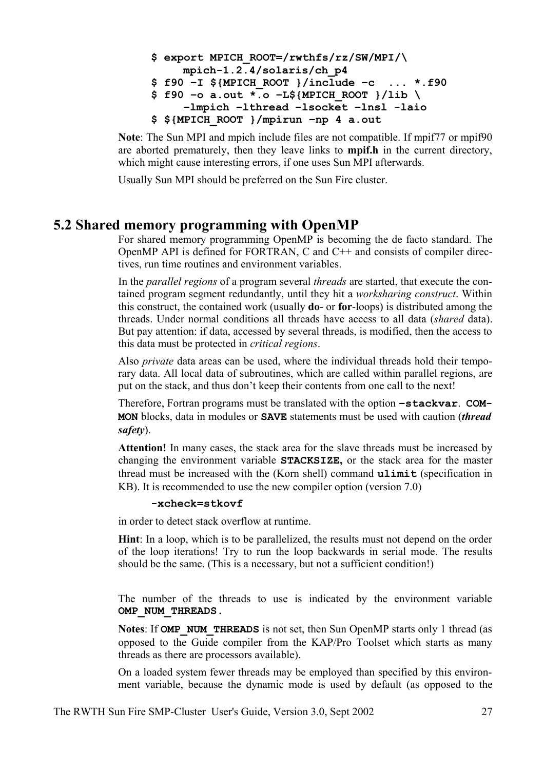```
$ export MPICH_ROOT=/rwthfs/rz/SW/MPI/\
    mpich-1.2.4/solaris/ch_p4
$ f90 –I ${MPICH_ROOT }/include –c ... *.f90
$ f90 –o a.out *.o –L${MPICH_ROOT }/lib \
    –lmpich –lthread –lsocket –lnsl -laio
$ ${MPICH_ROOT }/mpirun –np 4 a.out
```
**Note**: The Sun MPI and mpich include files are not compatible. If mpif77 or mpif90 are aborted prematurely, then they leave links to **mpif.h** in the current directory, which might cause interesting errors, if one uses Sun MPI afterwards.

Usually Sun MPI should be preferred on the Sun Fire cluster.

# **5.2 Shared memory programming with OpenMP**

For shared memory programming OpenMP is becoming the de facto standard. The OpenMP API is defined for FORTRAN, C and  $C_{++}$  and consists of compiler directives, run time routines and environment variables.

In the *parallel regions* of a program several *threads* are started, that execute the contained program segment redundantly, until they hit a *worksharing construct*. Within this construct, the contained work (usually **do**- or **for**-loops) is distributed among the threads. Under normal conditions all threads have access to all data (*shared* data). But pay attention: if data, accessed by several threads, is modified, then the access to this data must be protected in *critical regions*.

Also *private* data areas can be used, where the individual threads hold their temporary data. All local data of subroutines, which are called within parallel regions, are put on the stack, and thus don't keep their contents from one call to the next!

Therefore, Fortran programs must be translated with the option **–stackvar**. **COM-MON** blocks, data in modules or **SAVE** statements must be used with caution (*thread safety*).

**Attention!** In many cases, the stack area for the slave threads must be increased by changing the environment variable **STACKSIZE,** or the stack area for the master thread must be increased with the (Korn shell) command **ulimit** (specification in KB). It is recommended to use the new compiler option (version 7.0)

### **-xcheck=stkovf**

in order to detect stack overflow at runtime.

**Hint**: In a loop, which is to be parallelized, the results must not depend on the order of the loop iterations! Try to run the loop backwards in serial mode. The results should be the same. (This is a necessary, but not a sufficient condition!)

The number of the threads to use is indicated by the environment variable **OMP\_NUM\_THREADS**.

**Notes**: If **OMP\_NUM\_THREADS** is not set, then Sun OpenMP starts only 1 thread (as opposed to the Guide compiler from the KAP/Pro Toolset which starts as many threads as there are processors available).

On a loaded system fewer threads may be employed than specified by this environment variable, because the dynamic mode is used by default (as opposed to the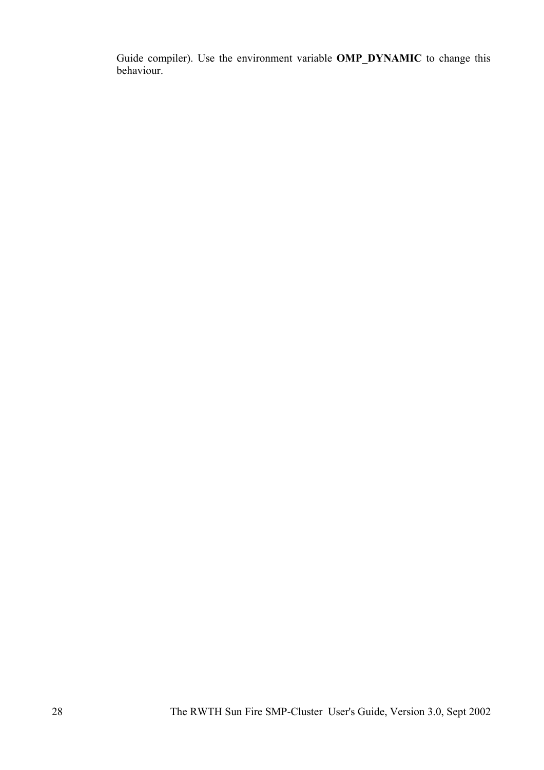Guide compiler). Use the environment variable **OMP\_DYNAMIC** to change this behaviour.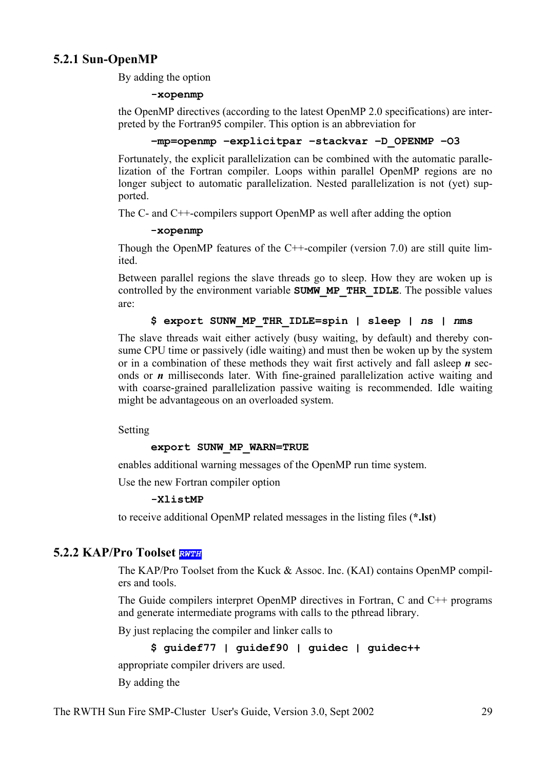## **5.2.1 Sun-OpenMP**

By adding the option

### **-xopenmp**

the OpenMP directives (according to the latest OpenMP 2.0 specifications) are interpreted by the Fortran95 compiler. This option is an abbreviation for

### **–mp=openmp –explicitpar –stackvar –D\_OPENMP –O3**

Fortunately, the explicit parallelization can be combined with the automatic parallelization of the Fortran compiler. Loops within parallel OpenMP regions are no longer subject to automatic parallelization. Nested parallelization is not (yet) supported.

The C- and C++-compilers support OpenMP as well after adding the option

### **-xopenmp**

Though the OpenMP features of the C++-compiler (version 7.0) are still quite limited.

Between parallel regions the slave threads go to sleep. How they are woken up is controlled by the environment variable **SUMW\_MP\_THR\_IDLE**. The possible values are:

## **\$ export SUNW\_MP\_THR\_IDLE=spin | sleep |** *n***s |** *n***ms**

The slave threads wait either actively (busy waiting, by default) and thereby consume CPU time or passively (idle waiting) and must then be woken up by the system or in a combination of these methods they wait first actively and fall asleep *n* seconds or *n* milliseconds later. With fine-grained parallelization active waiting and with coarse-grained parallelization passive waiting is recommended. Idle waiting might be advantageous on an overloaded system.

Setting

## **export SUNW\_MP\_WARN=TRUE**

enables additional warning messages of the OpenMP run time system.

Use the new Fortran compiler option

### **-XlistMP**

to receive additional OpenMP related messages in the listing files (**\*.lst**)

## **5.2.2 KAP/Pro Toolset** *RWTH*

The KAP/Pro Toolset from the Kuck & Assoc. Inc. (KAI) contains OpenMP compilers and tools.

The Guide compilers interpret OpenMP directives in Fortran, C and C++ programs and generate intermediate programs with calls to the pthread library.

By just replacing the compiler and linker calls to

```
$ guidef77 | guidef90 | guidec | guidec++
```
appropriate compiler drivers are used.

By adding the

The RWTH Sun Fire SMP-Cluster User's Guide, Version 3.0, Sept 2002 29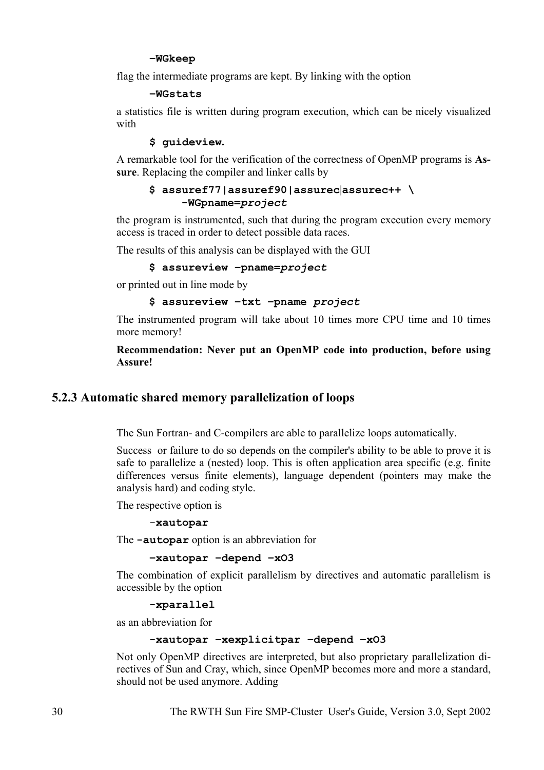#### **–WGkeep**

flag the intermediate programs are kept. By linking with the option

**–WGstats**

a statistics file is written during program execution, which can be nicely visualized with

### **\$ guideview.**

A remarkable tool for the verification of the correctness of OpenMP programs is **Assure**. Replacing the compiler and linker calls by

### **\$ assuref77|assuref90|assurec**|**assurec++ \ -WGpname=***project*

the program is instrumented, such that during the program execution every memory access is traced in order to detect possible data races.

The results of this analysis can be displayed with the GUI

#### **\$ assureview –pname=***project*

or printed out in line mode by

**\$ assureview –txt –pname** *project*

The instrumented program will take about 10 times more CPU time and 10 times more memory!

### **Recommendation: Never put an OpenMP code into production, before using Assure!**

## **5.2.3 Automatic shared memory parallelization of loops**

The Sun Fortran- and C-compilers are able to parallelize loops automatically.

Success or failure to do so depends on the compiler's ability to be able to prove it is safe to parallelize a (nested) loop. This is often application area specific (e.g. finite differences versus finite elements), language dependent (pointers may make the analysis hard) and coding style.

The respective option is

-**xautopar**

The **-autopar** option is an abbreviation for

```
–xautopar –depend –xO3
```
The combination of explicit parallelism by directives and automatic parallelism is accessible by the option

**-xparallel**

as an abbreviation for

#### **-xautopar –xexplicitpar –depend –xO3**

Not only OpenMP directives are interpreted, but also proprietary parallelization directives of Sun and Cray, which, since OpenMP becomes more and more a standard, should not be used anymore. Adding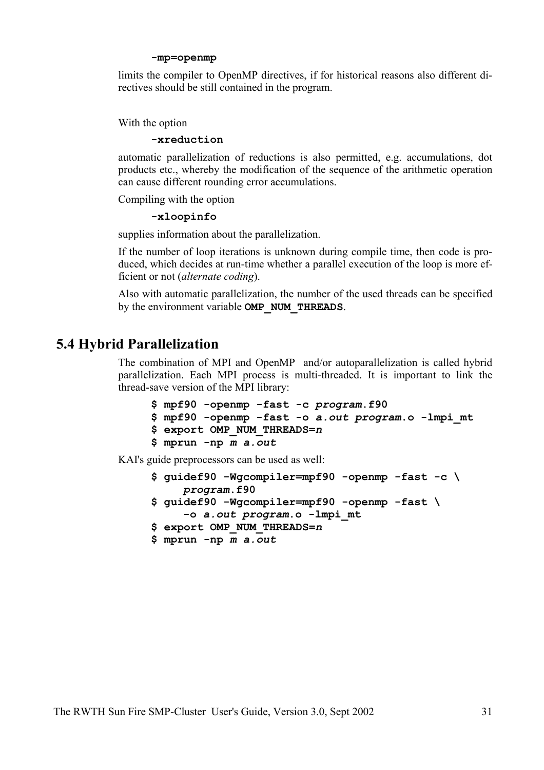#### **-mp=openmp**

limits the compiler to OpenMP directives, if for historical reasons also different directives should be still contained in the program.

#### With the option

#### **-xreduction**

automatic parallelization of reductions is also permitted, e.g. accumulations, dot products etc., whereby the modification of the sequence of the arithmetic operation can cause different rounding error accumulations.

Compiling with the option

#### **-xloopinfo**

supplies information about the parallelization.

If the number of loop iterations is unknown during compile time, then code is produced, which decides at run-time whether a parallel execution of the loop is more efficient or not (*alternate coding*).

Also with automatic parallelization, the number of the used threads can be specified by the environment variable **OMP\_NUM\_THREADS**.

# **5.4 Hybrid Parallelization**

The combination of MPI and OpenMP and/or autoparallelization is called hybrid parallelization. Each MPI process is multi-threaded. It is important to link the thread-save version of the MPI library:

```
$ mpf90 -openmp -fast -c program.f90
$ mpf90 -openmp -fast -o a.out program.o -lmpi_mt
$ export OMP_NUM_THREADS=n
$ mprun -np m a.out
```
KAI's guide preprocessors can be used as well:

```
$ guidef90 -Wgcompiler=mpf90 -openmp -fast -c \ 
    program.f90
$ guidef90 -Wgcompiler=mpf90 -openmp -fast \
     -o a.out program.o -lmpi_mt
$ export OMP_NUM_THREADS=n
$ mprun -np m a.out
```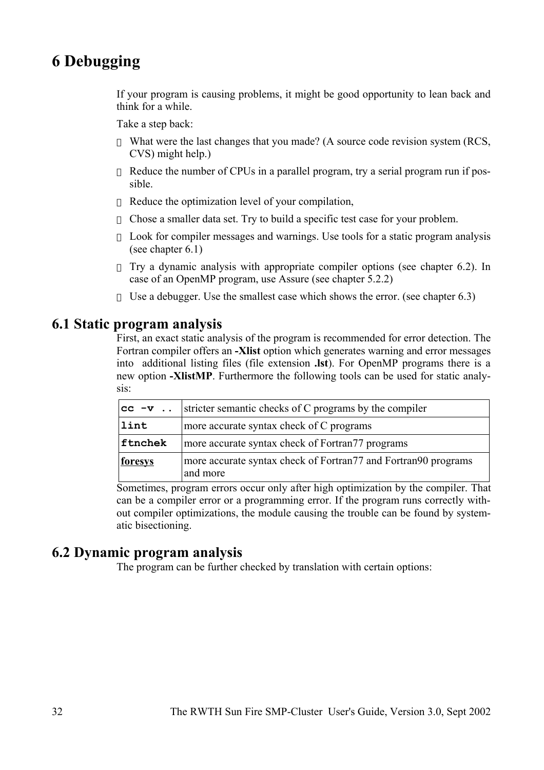# **6 Debugging**

If your program is causing problems, it might be good opportunity to lean back and think for a while.

Take a step back:

What were the last changes that you made? (A source code revision system (RCS, CVS) might help.)

Reduce the number of CPUs in a parallel program, try a serial program run if possible.

Reduce the optimization level of your compilation,

Chose a smaller data set. Try to build a specific test case for your problem.

Look for compiler messages and warnings. Use tools for a static program analysis (see chapter 6.1)

Try a dynamic analysis with appropriate compiler options (see chapter 6.2). In case of an OpenMP program, use Assure (see chapter 5.2.2)

Use a debugger. Use the smallest case which shows the error. (see chapter 6.3)

## **6.1 Static program analysis**

First, an exact static analysis of the program is recommended for error detection. The Fortran compiler offers an **-Xlist** option which generates warning and error messages into additional listing files (file extension **.lst**). For OpenMP programs there is a new option **-XlistMP**. Furthermore the following tools can be used for static analysis:

| $cc - v$       | stricter semantic checks of C programs by the compiler                                             |  |
|----------------|----------------------------------------------------------------------------------------------------|--|
| lint           | more accurate syntax check of C programs                                                           |  |
| ftnchek        | more accurate syntax check of Fortran77 programs                                                   |  |
| <u>foresys</u> | more accurate syntax check of Fortran <sup>77</sup> and Fortran <sup>90</sup> programs<br>and more |  |

Sometimes, program errors occur only after high optimization by the compiler. That can be a compiler error or a programming error. If the program runs correctly without compiler optimizations, the module causing the trouble can be found by systematic bisectioning.

## **6.2 Dynamic program analysis**

The program can be further checked by translation with certain options: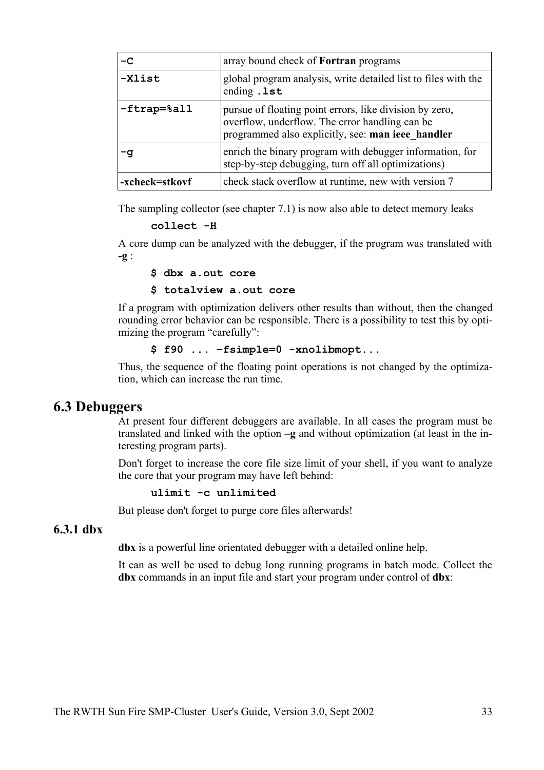| -C                                  | array bound check of <b>Fortran</b> programs                                                                                                                   |
|-------------------------------------|----------------------------------------------------------------------------------------------------------------------------------------------------------------|
| -Xlist                              | global program analysis, write detailed list to files with the<br>ending .1st                                                                                  |
| $-$ ftrap= $\text{\textdegree}$ all | pursue of floating point errors, like division by zero,<br>overflow, underflow. The error handling can be<br>programmed also explicitly, see: man ieee handler |
| -q                                  | enrich the binary program with debugger information, for<br>step-by-step debugging, turn off all optimizations)                                                |
| -xcheck=stkovf                      | check stack overflow at runtime, new with version 7                                                                                                            |

The sampling collector (see chapter 7.1) is now also able to detect memory leaks

**collect -H**

A core dump can be analyzed with the debugger, if the program was translated with **-g** :

**\$ dbx a.out core**

**\$ totalview a.out core**

If a program with optimization delivers other results than without, then the changed rounding error behavior can be responsible. There is a possibility to test this by optimizing the program "carefully":

**\$ f90 ... –fsimple=0 -xnolibmopt...**

Thus, the sequence of the floating point operations is not changed by the optimization, which can increase the run time.

## **6.3 Debuggers**

At present four different debuggers are available. In all cases the program must be translated and linked with the option **–g** and without optimization (at least in the interesting program parts).

Don't forget to increase the core file size limit of your shell, if you want to analyze the core that your program may have left behind:

**ulimit -c unlimited**

But please don't forget to purge core files afterwards!

### **6.3.1 dbx**

**dbx** is a powerful line orientated debugger with a detailed online help.

It can as well be used to debug long running programs in batch mode. Collect the **dbx** commands in an input file and start your program under control of **dbx**: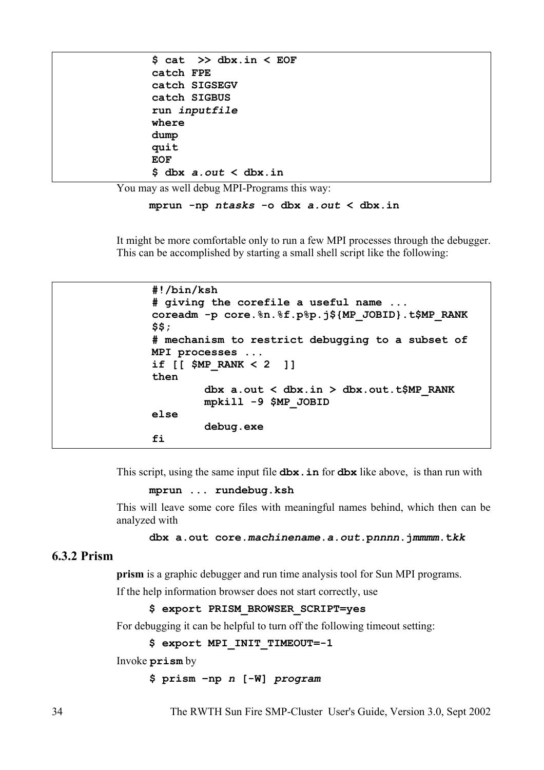|            | $$cat$ $>>$ dbx.in $<$ EOF  |
|------------|-----------------------------|
| catch FPE  |                             |
|            | catch SIGSEGV               |
|            | catch SIGBUS                |
|            | run inputfile               |
| where      |                             |
| dump       |                             |
| quit       |                             |
| <b>EOF</b> |                             |
|            | S dbx <i>a.out</i> < dbx.in |

You may as well debug MPI-Programs this way:

**mprun -np** *ntasks* **-o dbx** *a.out* **< dbx.in**

It might be more comfortable only to run a few MPI processes through the debugger. This can be accomplished by starting a small shell script like the following:

```
#!/bin/ksh
# giving the corefile a useful name ...
coreadm -p core.%n.%f.p%p.j${MP_JOBID}.t$MP_RANK
$$;
# mechanism to restrict debugging to a subset of
MPI processes ...
if [[ $MP_RANK < 2 ]] 
then
         dbx a.out < dbx.in > dbx.out.t$MP_RANK
         mpkill -9 $MP_JOBID
else
         debug.exe
fi
```
This script, using the same input file **dbx.in** for **dbx** like above, is than run with

**mprun ... rundebug.ksh**

This will leave some core files with meaningful names behind, which then can be analyzed with

**dbx a.out core.***machinename***.***a.out***.p***nnnn***.j***mmmm***.t***kk*

## **6.3.2 Prism**

**prism** is a graphic debugger and run time analysis tool for Sun MPI programs.

If the help information browser does not start correctly, use

**\$ export PRISM\_BROWSER\_SCRIPT=yes**

For debugging it can be helpful to turn off the following timeout setting:

```
$ export MPI_INIT_TIMEOUT=-1
```
Invoke **prism** by

```
$ prism –np n [-W] program
```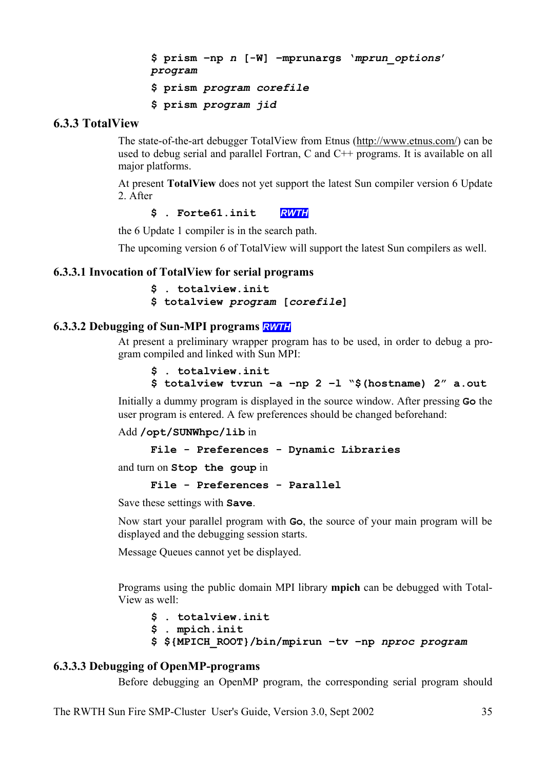```
$ prism –np n [-W] –mprunargs 'mprun_options'
program
$ prism program corefile
$ prism program jid
```
## **6.3.3 TotalView**

The state-of-the-art debugger TotalView from Etnus (http://www.etnus.com/) can be used to debug serial and parallel Fortran, C and C++ programs. It is available on all major platforms.

At present **TotalView** does not yet support the latest Sun compiler version 6 Update 2. After

**\$ . Forte61.init** *RWTH*

the 6 Update 1 compiler is in the search path.

The upcoming version 6 of TotalView will support the latest Sun compilers as well.

### **6.3.3.1 Invocation of TotalView for serial programs**

```
$ . totalview.init
$ totalview program [corefile]
```
## **6.3.3.2 Debugging of Sun-MPI programs** *RWTH*

At present a preliminary wrapper program has to be used, in order to debug a program compiled and linked with Sun MPI:

```
$ . totalview.init
```

```
$ totalview tvrun –a –np 2 –l "$(hostname) 2" a.out
```
Initially a dummy program is displayed in the source window. After pressing **Go** the user program is entered. A few preferences should be changed beforehand:

Add **/opt/SUNWhpc/lib** in

```
File - Preferences - Dynamic Libraries
```
and turn on **Stop the goup** in

```
File - Preferences - Parallel
```
Save these settings with **Save**.

Now start your parallel program with **Go**, the source of your main program will be displayed and the debugging session starts.

Message Queues cannot yet be displayed.

Programs using the public domain MPI library **mpich** can be debugged with Total-View as well:

```
$ . totalview.init
$ . mpich.init
$ ${MPICH_ROOT}/bin/mpirun –tv –np nproc program
```
## **6.3.3.3 Debugging of OpenMP-programs**

Before debugging an OpenMP program, the corresponding serial program should

The RWTH Sun Fire SMP-Cluster User's Guide, Version 3.0, Sept 2002 35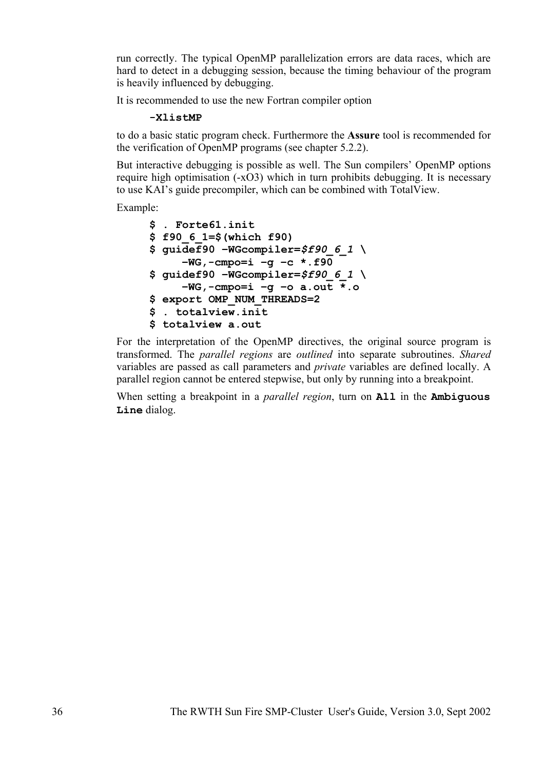run correctly. The typical OpenMP parallelization errors are data races, which are hard to detect in a debugging session, because the timing behaviour of the program is heavily influenced by debugging.

It is recommended to use the new Fortran compiler option

#### **-XlistMP**

to do a basic static program check. Furthermore the **Assure** tool is recommended for the verification of OpenMP programs (see chapter 5.2.2).

But interactive debugging is possible as well. The Sun compilers' OpenMP options require high optimisation (-xO3) which in turn prohibits debugging. It is necessary to use KAI's guide precompiler, which can be combined with TotalView.

Example:

```
$ . Forte61.init
$ f90_6_1=$(which f90)
$ guidef90 –WGcompiler=$f90_6_1 \
     –WG,-cmpo=i –g –c *.f90
$ guidef90 –WGcompiler=$f90_6_1 \
     –WG,-cmpo=i –g –o a.out *.o
$ export OMP_NUM_THREADS=2
$ . totalview.init
$ totalview a.out
```
For the interpretation of the OpenMP directives, the original source program is transformed. The *parallel regions* are *outlined* into separate subroutines. *Shared* variables are passed as call parameters and *private* variables are defined locally. A parallel region cannot be entered stepwise, but only by running into a breakpoint.

When setting a breakpoint in a *parallel region*, turn on **All** in the **Ambiguous Line** dialog.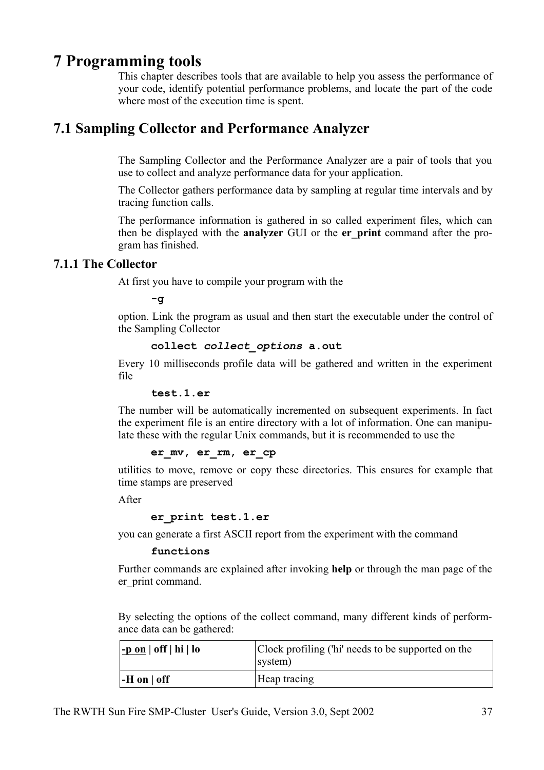# **7 Programming tools**

This chapter describes tools that are available to help you assess the performance of your code, identify potential performance problems, and locate the part of the code where most of the execution time is spent.

# **7.1 Sampling Collector and Performance Analyzer**

The Sampling Collector and the Performance Analyzer are a pair of tools that you use to collect and analyze performance data for your application.

The Collector gathers performance data by sampling at regular time intervals and by tracing function calls.

The performance information is gathered in so called experiment files, which can then be displayed with the **analyzer** GUI or the **er\_print** command after the program has finished.

## **7.1.1 The Collector**

At first you have to compile your program with the

 $-\sigma$ 

option. Link the program as usual and then start the executable under the control of the Sampling Collector

### **collect** *collect\_options* **a.out**

Every 10 milliseconds profile data will be gathered and written in the experiment file

### **test.1.er**

The number will be automatically incremented on subsequent experiments. In fact the experiment file is an entire directory with a lot of information. One can manipulate these with the regular Unix commands, but it is recommended to use the

### **er\_mv, er\_rm, er\_cp**

utilities to move, remove or copy these directories. This ensures for example that time stamps are preserved

After

### **er\_print test.1.er**

you can generate a first ASCII report from the experiment with the command

### **functions**

Further commands are explained after invoking **help** or through the man page of the er print command.

By selecting the options of the collect command, many different kinds of performance data can be gathered:

| <u>-p on</u>   off   hi   lo | Clock profiling ('hi' needs to be supported on the<br>system) |
|------------------------------|---------------------------------------------------------------|
| $-H$ on $\vert$ off          | Heap tracing                                                  |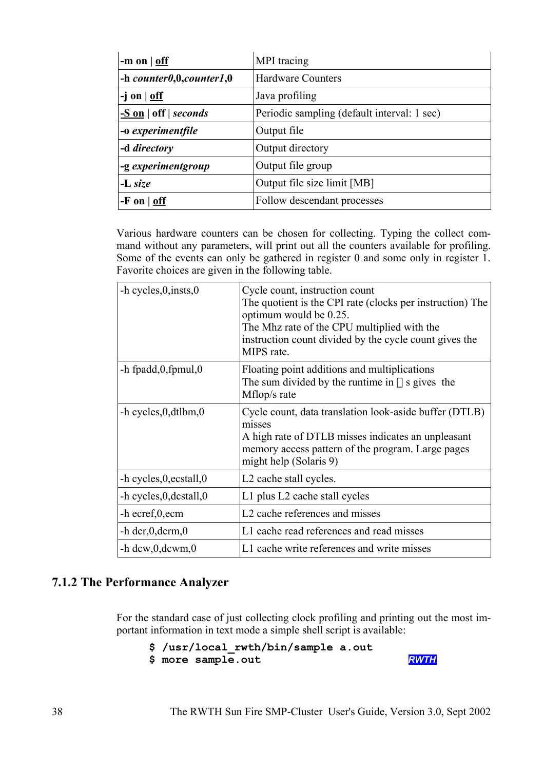| -m on $\vert$ off                | MPI tracing                                 |
|----------------------------------|---------------------------------------------|
| $-$ h counter $0,0, counter1,0$  | <b>Hardware Counters</b>                    |
| $-j$ on $\vert$ off              | Java profiling                              |
| $-S \text{ on }  $ off   seconds | Periodic sampling (default interval: 1 sec) |
| -o experimentfile                | Output file                                 |
| -d directory                     | Output directory                            |
| -g experimentgroup               | Output file group                           |
| $-L size$                        | Output file size limit [MB]                 |
| $-F$ on $ $ off                  | Follow descendant processes                 |

Various hardware counters can be chosen for collecting. Typing the collect command without any parameters, will print out all the counters available for profiling. Some of the events can only be gathered in register 0 and some only in register 1. Favorite choices are given in the following table.

| -h cycles, 0, insts, 0        | Cycle count, instruction count<br>The quotient is the CPI rate (clocks per instruction) The<br>optimum would be 0.25.<br>The Mhz rate of the CPU multiplied with the<br>instruction count divided by the cycle count gives the<br>MIPS rate. |
|-------------------------------|----------------------------------------------------------------------------------------------------------------------------------------------------------------------------------------------------------------------------------------------|
| $-$ h fpadd, $0$ , fpmul, $0$ | Floating point additions and multiplications<br>The sum divided by the runtime in s gives the<br>Mflop/s rate                                                                                                                                |
| $-h$ cycles, 0, dtlbm, 0      | Cycle count, data translation look-aside buffer (DTLB)<br>misses<br>A high rate of DTLB misses indicates an unpleasant<br>memory access pattern of the program. Large pages<br>might help (Solaris 9)                                        |
| -h cycles, 0, ecstall, 0      | L <sub>2</sub> cache stall cycles.                                                                                                                                                                                                           |
| -h cycles, 0, dcstall, 0      | L1 plus L2 cache stall cycles                                                                                                                                                                                                                |
| -h ecref,0,ecm                | L <sub>2</sub> cache references and misses                                                                                                                                                                                                   |
| $-$ h dcr, $0$ , dcrm, $0$    | L1 cache read references and read misses                                                                                                                                                                                                     |
| $- h \, dcw, 0, dcwm, 0$      | L1 cache write references and write misses                                                                                                                                                                                                   |

## **7.1.2 The Performance Analyzer**

For the standard case of just collecting clock profiling and printing out the most important information in text mode a simple shell script is available:

```
$ /usr/local rwth/bin/sample a.out
$ more sample.out RWTH
```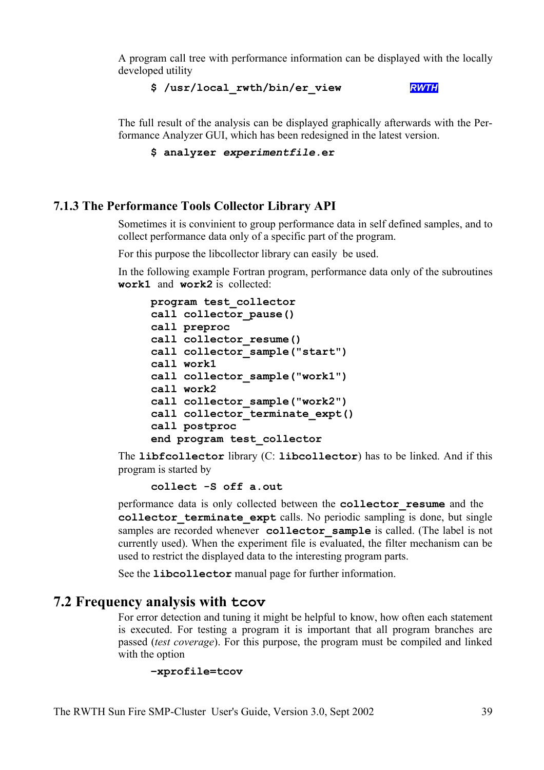A program call tree with performance information can be displayed with the locally developed utility

```
$ /usr/local_rwth/bin/er_view RWTH
```
The full result of the analysis can be displayed graphically afterwards with the Performance Analyzer GUI, which has been redesigned in the latest version.

```
$ analyzer experimentfile.er
```
## **7.1.3 The Performance Tools Collector Library API**

Sometimes it is convinient to group performance data in self defined samples, and to collect performance data only of a specific part of the program.

For this purpose the libcollector library can easily be used.

In the following example Fortran program, performance data only of the subroutines **work1** and **work2** is collected:

```
program test_collector
call collector_pause()
call preproc
call collector_resume()
call collector_sample("start")
call work1
call collector_sample("work1")
call work2
call collector_sample("work2")
call collector_terminate_expt()
call postproc
end program test_collector
```
The **libfcollector** library (C: **libcollector**) has to be linked. And if this program is started by

**collect -S off a.out**

performance data is only collected between the **collector\_resume** and the collector terminate expt calls. No periodic sampling is done, but single samples are recorded whenever **collector** sample is called. (The label is not currently used). When the experiment file is evaluated, the filter mechanism can be used to restrict the displayed data to the interesting program parts.

See the **libcollector** manual page for further information.

# **7.2 Frequency analysis with tcov**

For error detection and tuning it might be helpful to know, how often each statement is executed. For testing a program it is important that all program branches are passed (*test coverage*). For this purpose, the program must be compiled and linked with the option

```
–xprofile=tcov
```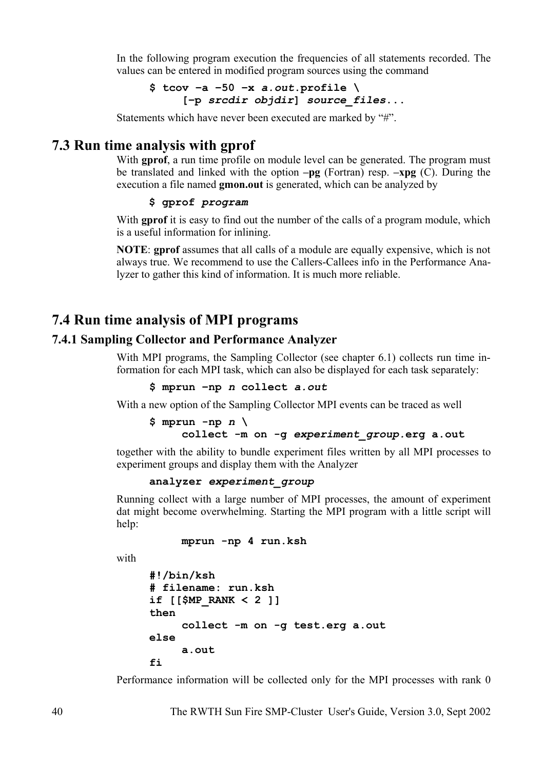In the following program execution the frequencies of all statements recorded. The values can be entered in modified program sources using the command

**\$ tcov –a –50 –x** *a.out***.profile \ [–p** *srcdir objdir***]** *source\_files***...**

Statements which have never been executed are marked by "#".

# **7.3 Run time analysis with gprof**

With **gprof**, a run time profile on module level can be generated. The program must be translated and linked with the option **–pg** (Fortran) resp. **–xpg** (C). During the execution a file named **gmon.out** is generated, which can be analyzed by

#### **\$ gprof** *program*

With **gprof** it is easy to find out the number of the calls of a program module, which is a useful information for inlining.

**NOTE**: **gprof** assumes that all calls of a module are equally expensive, which is not always true. We recommend to use the Callers-Callees info in the Performance Analyzer to gather this kind of information. It is much more reliable.

# **7.4 Run time analysis of MPI programs**

## **7.4.1 Sampling Collector and Performance Analyzer**

With MPI programs, the Sampling Collector (see chapter 6.1) collects run time information for each MPI task, which can also be displayed for each task separately:

**\$ mprun –np** *n* **collect** *a.out*

With a new option of the Sampling Collector MPI events can be traced as well

```
$ mprun -np n \
    collect -m on -g experiment_group.erg a.out
```
together with the ability to bundle experiment files written by all MPI processes to experiment groups and display them with the Analyzer

### **analyzer** *experiment\_group*

Running collect with a large number of MPI processes, the amount of experiment dat might become overwhelming. Starting the MPI program with a little script will help:

**mprun -np 4 run.ksh**

with

```
#!/bin/ksh
# filename: run.ksh
if [[$MP_RANK < 2 ]]
then
     collect -m on -g test.erg a.out
else
     a.out
fi
```
Performance information will be collected only for the MPI processes with rank 0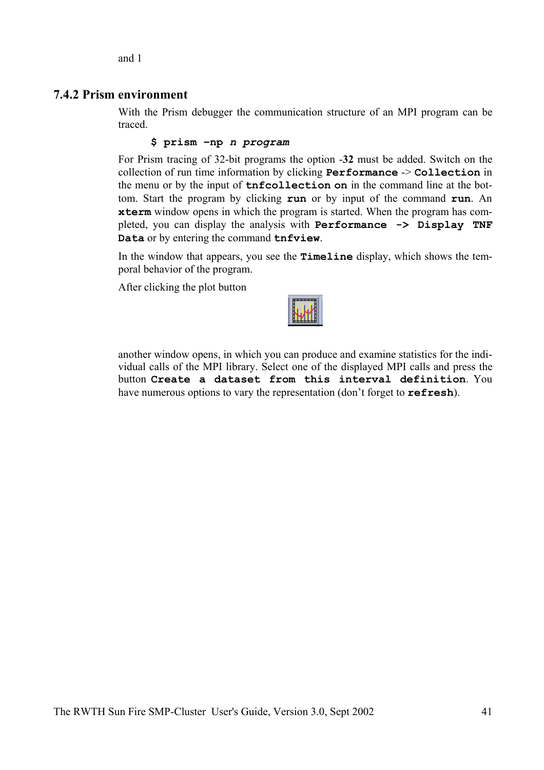and 1

## **7.4.2 Prism environment**

With the Prism debugger the communication structure of an MPI program can be traced.

**\$ prism –np** *n program*

For Prism tracing of 32-bit programs the option -**32** must be added. Switch on the collection of run time information by clicking **Performance** -> **Collection** in the menu or by the input of **tnfcollection on** in the command line at the bottom. Start the program by clicking **run** or by input of the command **run**. An **xterm** window opens in which the program is started. When the program has completed, you can display the analysis with **Performance -> Display TNF Data** or by entering the command **tnfview**.

In the window that appears, you see the **Timeline** display, which shows the temporal behavior of the program.

After clicking the plot button



another window opens, in which you can produce and examine statistics for the individual calls of the MPI library. Select one of the displayed MPI calls and press the button **Create a dataset from this interval definition**. You have numerous options to vary the representation (don't forget to **refresh**).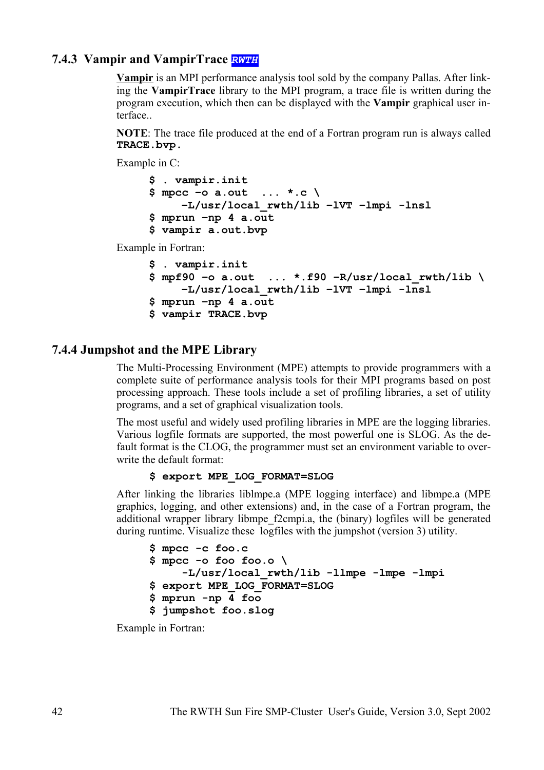# **7.4.3 Vampir and VampirTrace** *RWTH*

**Vampir** is an MPI performance analysis tool sold by the company Pallas. After linking the **VampirTrace** library to the MPI program, a trace file is written during the program execution, which then can be displayed with the **Vampir** graphical user interface..

**NOTE**: The trace file produced at the end of a Fortran program run is always called **TRACE.bvp.**

Example in C:

```
$ . vampir.init
$ mpcc –o a.out ... *.c \
      –L/usr/local_rwth/lib –lVT –lmpi -lnsl
$ mprun –np 4 a.out
$ vampir a.out.bvp
```
Example in Fortran:

```
$ . vampir.init
$ mpf90 –o a.out ... *.f90 –R/usr/local_rwth/lib \
    –L/usr/local_rwth/lib –lVT –lmpi -lnsl
$ mprun –np 4 a.out
$ vampir TRACE.bvp
```
## **7.4.4 Jumpshot and the MPE Library**

The Multi-Processing Environment (MPE) attempts to provide programmers with a complete suite of performance analysis tools for their MPI programs based on post processing approach. These tools include a set of profiling libraries, a set of utility programs, and a set of graphical visualization tools.

The most useful and widely used profiling libraries in MPE are the logging libraries. Various logfile formats are supported, the most powerful one is SLOG. As the default format is the CLOG, the programmer must set an environment variable to overwrite the default format:

### **\$ export MPE\_LOG\_FORMAT=SLOG**

After linking the libraries liblmpe.a (MPE logging interface) and libmpe.a (MPE graphics, logging, and other extensions) and, in the case of a Fortran program, the additional wrapper library libmpe\_f2cmpi.a, the (binary) logfiles will be generated during runtime. Visualize these logfiles with the jumpshot (version 3) utility.

```
$ mpcc -c foo.c
$ mpcc -o foo foo.o \
     -L/usr/local_rwth/lib -llmpe -lmpe -lmpi
$ export MPE_LOG_FORMAT=SLOG
$ mprun -np 4 foo
$ jumpshot foo.slog
```
Example in Fortran: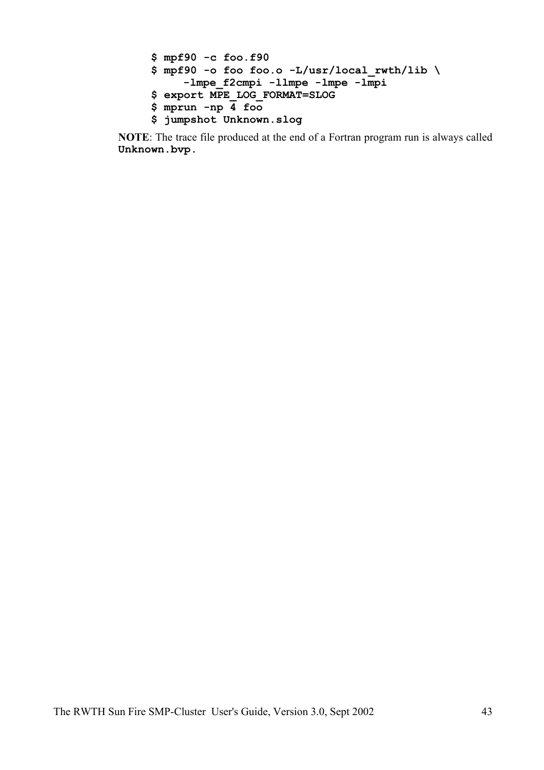```
$ mpf90 -c foo.f90
$ mpf90 -o foo foo.o -L/usr/local_rwth/lib \
      -lmpe_f2cmpi -llmpe -lmpe -lmpi
$ export MPE_LOG_FORMAT=SLOG
$ mprun -np 4 foo
$ jumpshot Unknown.slog
```
**NOTE**: The trace file produced at the end of a Fortran program run is always called **Unknown.bvp.**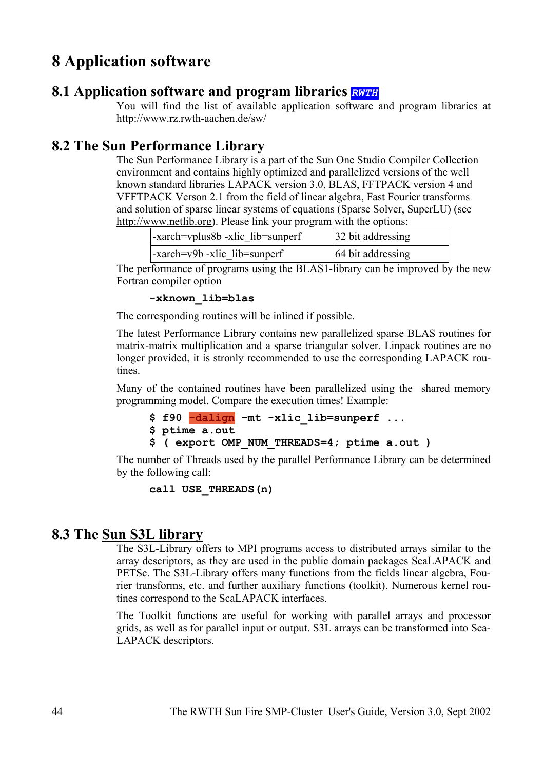# **8 Application software**

# **8.1 Application software and program libraries** *RWTH*

You will find the list of available application software and program libraries at http://www.rz.rwth-aachen.de/sw/

# **8.2 The Sun Performance Library**

The Sun Performance Library is a part of the Sun One Studio Compiler Collection environment and contains highly optimized and parallelized versions of the well known standard libraries LAPACK version 3.0, BLAS, FFTPACK version 4 and VFFTPACK Verson 2.1 from the field of linear algebra, Fast Fourier transforms and solution of sparse linear systems of equations (Sparse Solver, SuperLU) (see http://www.netlib.org). Please link your program with the options:

| -xarch=vplus8b -xlic lib=sunperf | 32 bit addressing                    |                   |
|----------------------------------|--------------------------------------|-------------------|
|                                  | $\vert$ -xarch=v9b -xlic lib=sunperf | 64 bit addressing |

The performance of programs using the BLAS1-library can be improved by the new Fortran compiler option

```
-xknown_lib=blas
```
The corresponding routines will be inlined if possible.

The latest Performance Library contains new parallelized sparse BLAS routines for matrix-matrix multiplication and a sparse triangular solver. Linpack routines are no longer provided, it is stronly recommended to use the corresponding LAPACK routines.

Many of the contained routines have been parallelized using the shared memory programming model. Compare the execution times! Example:

```
$ f90 -dalign –mt -xlic_lib=sunperf ...
$ ptime a.out
$ ( export OMP_NUM_THREADS=4; ptime a.out )
```
The number of Threads used by the parallel Performance Library can be determined by the following call:

**call USE\_THREADS(n)**

# **8.3 The Sun S3L library**

The S3L-Library offers to MPI programs access to distributed arrays similar to the array descriptors, as they are used in the public domain packages ScaLAPACK and PETSc. The S3L-Library offers many functions from the fields linear algebra, Fourier transforms, etc. and further auxiliary functions (toolkit). Numerous kernel routines correspond to the ScaLAPACK interfaces.

The Toolkit functions are useful for working with parallel arrays and processor grids, as well as for parallel input or output. S3L arrays can be transformed into Sca-LAPACK descriptors.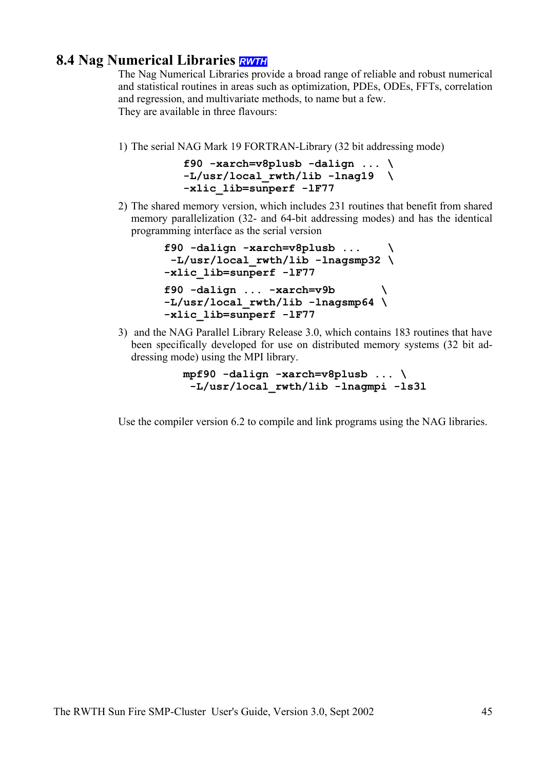# **8.4 Nag Numerical Libraries** *RWTH*

The Nag Numerical Libraries provide a broad range of reliable and robust numerical and statistical routines in areas such as optimization, PDEs, ODEs, FFTs, correlation and regression, and multivariate methods, to name but a few. They are available in three flavours:

1) The serial NAG Mark 19 FORTRAN-Library (32 bit addressing mode)

```
f90 -xarch=v8plusb -dalign ... \
-L/usr/local_rwth/lib -lnag19 \
-xlic_lib=sunperf -lF77
```
2) The shared memory version, which includes 231 routines that benefit from shared memory parallelization (32- and 64-bit addressing modes) and has the identical programming interface as the serial version

```
f90 -dalign -xarch=v8plusb ... \
  -L/usr/local_rwth/lib -lnagsmp32 \
-xlic_lib=sunperf -lF77
f90 -dalign ... -xarch=v9b \
-L/usr/local_rwth/lib -lnagsmp64 \
-xlic_lib=sunperf -lF77
```
3) and the NAG Parallel Library Release 3.0, which contains 183 routines that have been specifically developed for use on distributed memory systems (32 bit addressing mode) using the MPI library.

> **mpf90 -dalign -xarch=v8plusb ... \ -L/usr/local\_rwth/lib -lnagmpi -ls3l**

Use the compiler version 6.2 to compile and link programs using the NAG libraries.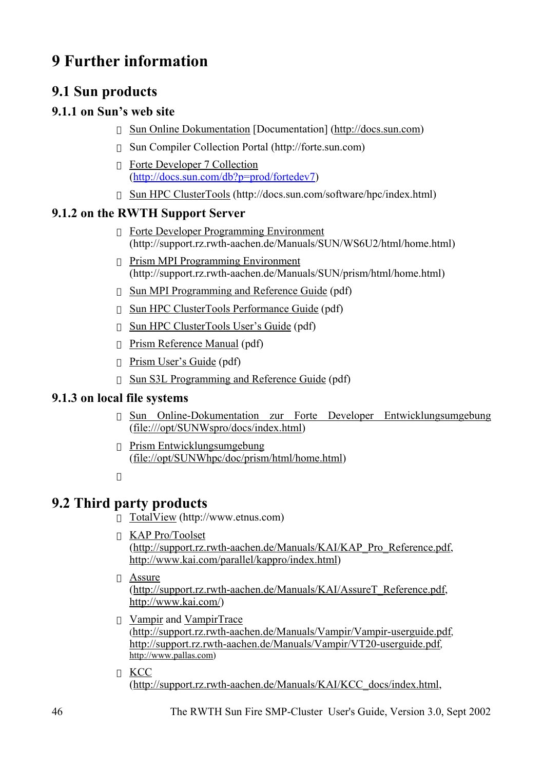# **9 Further information**

# **9.1 Sun products**

# **9.1.1 on Sun's web site**

Sun Online Dokumentation [Documentation] (http://docs.sun.com)

Sun Compiler Collection Portal (http://forte.sun.com)

Forte Developer 7 Collection (http://docs.sun.com/db?p=prod/fortedev7)

Sun HPC ClusterTools (http://docs.sun.com/software/hpc/index.html)

# **9.1.2 on the RWTH Support Server**

Forte Developer Programming Environment (http://support.rz.rwth-aachen.de/Manuals/SUN/WS6U2/html/home.html)

Prism MPI Programming Environment (http://support.rz.rwth-aachen.de/Manuals/SUN/prism/html/home.html)

Sun MPI Programming and Reference Guide (pdf)

Sun HPC ClusterTools Performance Guide (pdf)

Sun HPC ClusterTools User's Guide (pdf)

Prism Reference Manual (pdf)

Prism User's Guide (pdf)

Sun S3L Programming and Reference Guide (pdf)

# **9.1.3 on local file systems**

Sun Online-Dokumentation zur Forte Developer Entwicklungsumgebung (file:///opt/SUNWspro/docs/index.html)

Prism Entwicklungsumgebung (file://opt/SUNWhpc/doc/prism/html/home.html)

# **9.2 Third party products**

TotalView (http://www.etnus.com)

KAP Pro/Toolset

(http://support.rz.rwth-aachen.de/Manuals/KAI/KAP\_Pro\_Reference.pdf, http://www.kai.com/parallel/kappro/index.html)

## Assure

(http://support.rz.rwth-aachen.de/Manuals/KAI/AssureT\_Reference.pdf, http://www.kai.com/)

Vampir and VampirTrace

(http://support.rz.rwth-aachen.de/Manuals/Vampir/Vampir-userguide.pdf, http://support.rz.rwth-aachen.de/Manuals/Vampir/VT20-userguide.pdf, http://www.pallas.com)

**KCC** (http://support.rz.rwth-aachen.de/Manuals/KAI/KCC\_docs/index.html,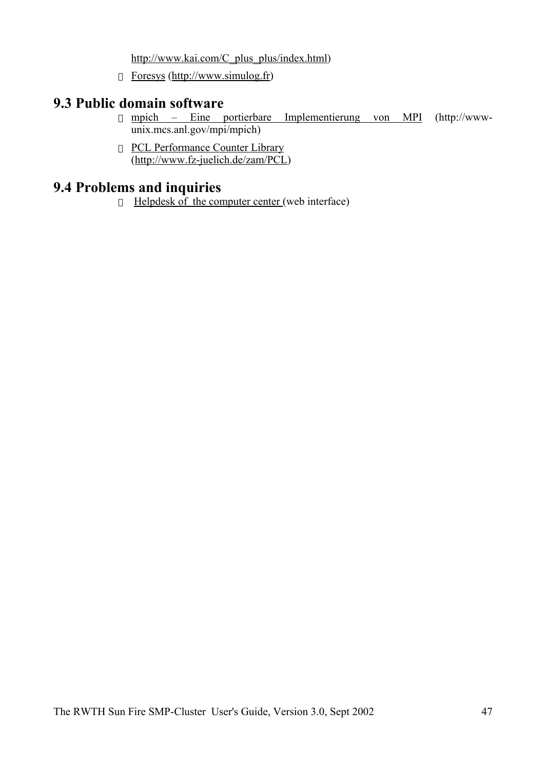http://www.kai.com/C\_plus\_plus/index.html)

Foresys (http://www.simulog.fr)

# **9.3 Public domain software**

mpich – Eine portierbare Implementierung von MPI (http://wwwunix.mcs.anl.gov/mpi/mpich)

PCL Performance Counter Library (http://www.fz-juelich.de/zam/PCL)

# **9.4 Problems and inquiries**

Helpdesk of the computer center (web interface)